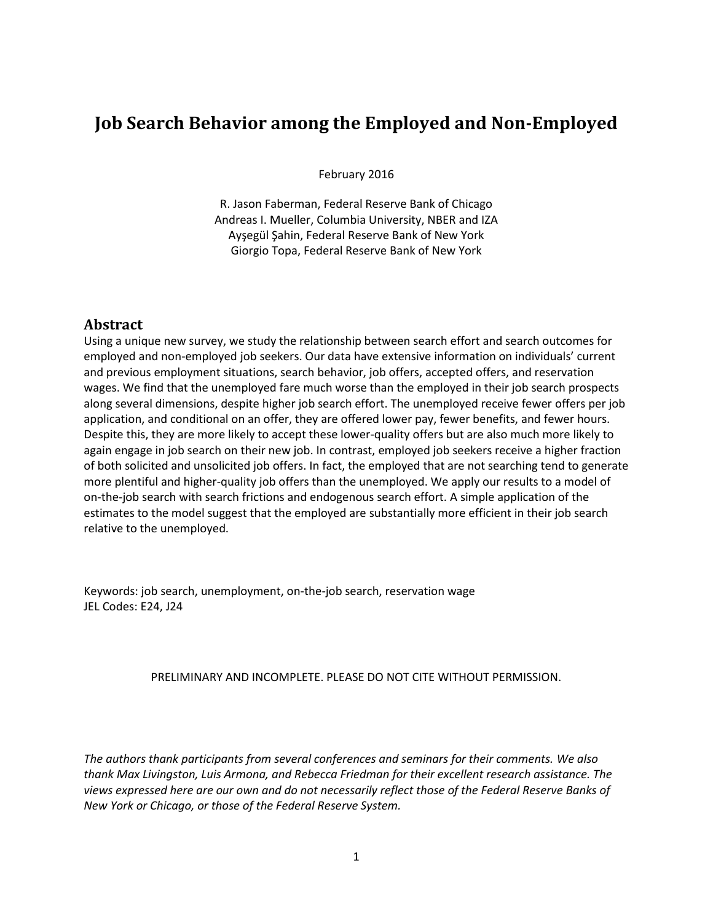# **Job Search Behavior among the Employed and Non-Employed**

February 2016

R. Jason Faberman, Federal Reserve Bank of Chicago Andreas I. Mueller, Columbia University, NBER and IZA Ayşegül Şahin, Federal Reserve Bank of New York Giorgio Topa, Federal Reserve Bank of New York

### **Abstract**

Using a unique new survey, we study the relationship between search effort and search outcomes for employed and non-employed job seekers. Our data have extensive information on individuals' current and previous employment situations, search behavior, job offers, accepted offers, and reservation wages. We find that the unemployed fare much worse than the employed in their job search prospects along several dimensions, despite higher job search effort. The unemployed receive fewer offers per job application, and conditional on an offer, they are offered lower pay, fewer benefits, and fewer hours. Despite this, they are more likely to accept these lower-quality offers but are also much more likely to again engage in job search on their new job. In contrast, employed job seekers receive a higher fraction of both solicited and unsolicited job offers. In fact, the employed that are not searching tend to generate more plentiful and higher-quality job offers than the unemployed. We apply our results to a model of on-the-job search with search frictions and endogenous search effort. A simple application of the estimates to the model suggest that the employed are substantially more efficient in their job search relative to the unemployed.

Keywords: job search, unemployment, on-the-job search, reservation wage JEL Codes: E24, J24

### PRELIMINARY AND INCOMPLETE. PLEASE DO NOT CITE WITHOUT PERMISSION.

*The authors thank participants from several conferences and seminars for their comments. We also thank Max Livingston, Luis Armona, and Rebecca Friedman for their excellent research assistance. The views expressed here are our own and do not necessarily reflect those of the Federal Reserve Banks of New York or Chicago, or those of the Federal Reserve System.*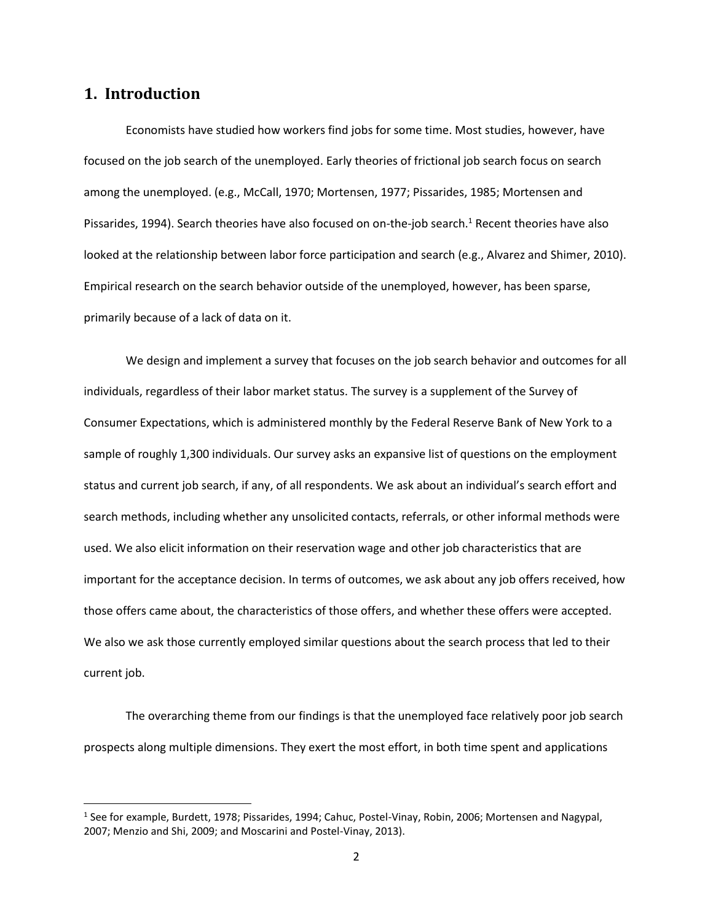## **1. Introduction**

l

Economists have studied how workers find jobs for some time. Most studies, however, have focused on the job search of the unemployed. Early theories of frictional job search focus on search among the unemployed. (e.g., McCall, 1970; Mortensen, 1977; Pissarides, 1985; Mortensen and Pissarides, 1994). Search theories have also focused on on-the-job search.<sup>1</sup> Recent theories have also looked at the relationship between labor force participation and search (e.g., Alvarez and Shimer, 2010). Empirical research on the search behavior outside of the unemployed, however, has been sparse, primarily because of a lack of data on it.

We design and implement a survey that focuses on the job search behavior and outcomes for all individuals, regardless of their labor market status. The survey is a supplement of the Survey of Consumer Expectations, which is administered monthly by the Federal Reserve Bank of New York to a sample of roughly 1,300 individuals. Our survey asks an expansive list of questions on the employment status and current job search, if any, of all respondents. We ask about an individual's search effort and search methods, including whether any unsolicited contacts, referrals, or other informal methods were used. We also elicit information on their reservation wage and other job characteristics that are important for the acceptance decision. In terms of outcomes, we ask about any job offers received, how those offers came about, the characteristics of those offers, and whether these offers were accepted. We also we ask those currently employed similar questions about the search process that led to their current job.

The overarching theme from our findings is that the unemployed face relatively poor job search prospects along multiple dimensions. They exert the most effort, in both time spent and applications

<sup>&</sup>lt;sup>1</sup> See for example, Burdett, 1978; Pissarides, 1994; Cahuc, Postel-Vinay, Robin, 2006; Mortensen and Nagypal, 2007; Menzio and Shi, 2009; and Moscarini and Postel-Vinay, 2013).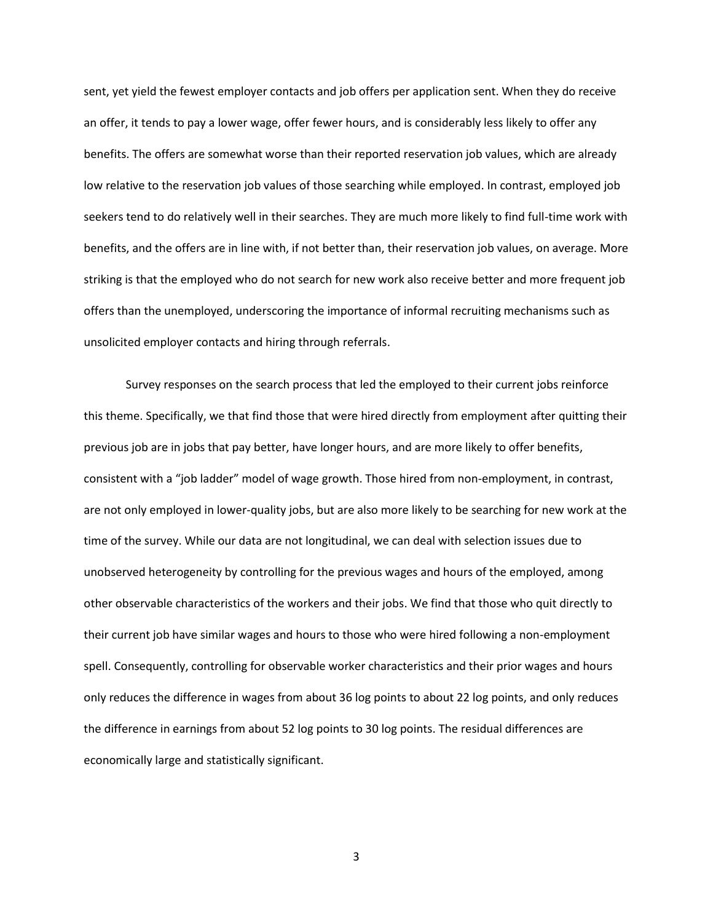sent, yet yield the fewest employer contacts and job offers per application sent. When they do receive an offer, it tends to pay a lower wage, offer fewer hours, and is considerably less likely to offer any benefits. The offers are somewhat worse than their reported reservation job values, which are already low relative to the reservation job values of those searching while employed. In contrast, employed job seekers tend to do relatively well in their searches. They are much more likely to find full-time work with benefits, and the offers are in line with, if not better than, their reservation job values, on average. More striking is that the employed who do not search for new work also receive better and more frequent job offers than the unemployed, underscoring the importance of informal recruiting mechanisms such as unsolicited employer contacts and hiring through referrals.

Survey responses on the search process that led the employed to their current jobs reinforce this theme. Specifically, we that find those that were hired directly from employment after quitting their previous job are in jobs that pay better, have longer hours, and are more likely to offer benefits, consistent with a "job ladder" model of wage growth. Those hired from non-employment, in contrast, are not only employed in lower-quality jobs, but are also more likely to be searching for new work at the time of the survey. While our data are not longitudinal, we can deal with selection issues due to unobserved heterogeneity by controlling for the previous wages and hours of the employed, among other observable characteristics of the workers and their jobs. We find that those who quit directly to their current job have similar wages and hours to those who were hired following a non-employment spell. Consequently, controlling for observable worker characteristics and their prior wages and hours only reduces the difference in wages from about 36 log points to about 22 log points, and only reduces the difference in earnings from about 52 log points to 30 log points. The residual differences are economically large and statistically significant.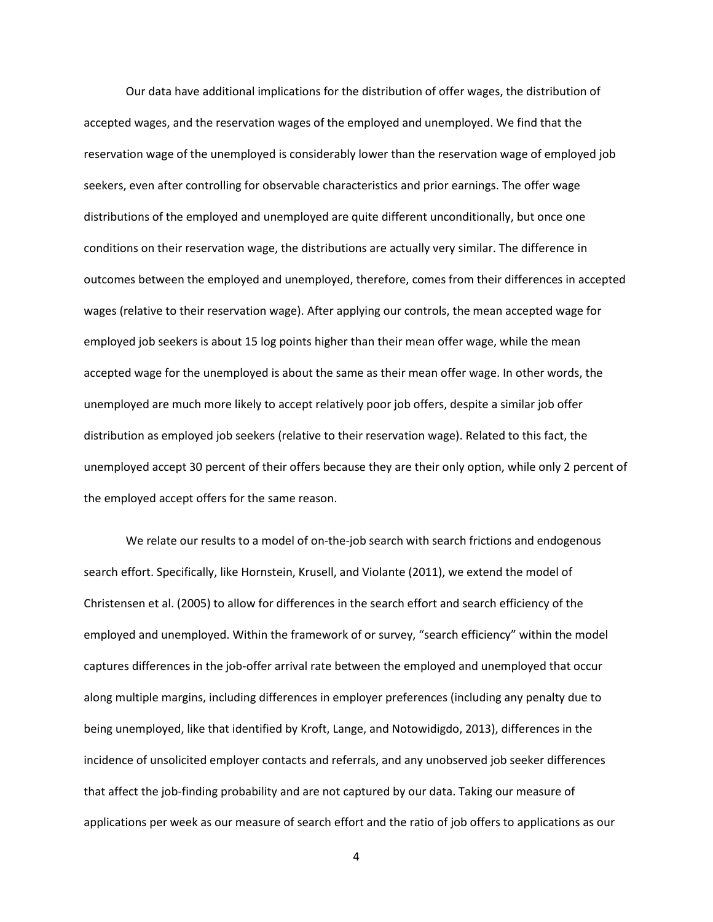Our data have additional implications for the distribution of offer wages, the distribution of accepted wages, and the reservation wages of the employed and unemployed. We find that the reservation wage of the unemployed is considerably lower than the reservation wage of employed job seekers, even after controlling for observable characteristics and prior earnings. The offer wage distributions of the employed and unemployed are quite different unconditionally, but once one conditions on their reservation wage, the distributions are actually very similar. The difference in outcomes between the employed and unemployed, therefore, comes from their differences in accepted wages (relative to their reservation wage). After applying our controls, the mean accepted wage for employed job seekers is about 15 log points higher than their mean offer wage, while the mean accepted wage for the unemployed is about the same as their mean offer wage. In other words, the unemployed are much more likely to accept relatively poor job offers, despite a similar job offer distribution as employed job seekers (relative to their reservation wage). Related to this fact, the unemployed accept 30 percent of their offers because they are their only option, while only 2 percent of the employed accept offers for the same reason.

We relate our results to a model of on-the-job search with search frictions and endogenous search effort. Specifically, like Hornstein, Krusell, and Violante (2011), we extend the model of Christensen et al. (2005) to allow for differences in the search effort and search efficiency of the employed and unemployed. Within the framework of or survey, "search efficiency" within the model captures differences in the job-offer arrival rate between the employed and unemployed that occur along multiple margins, including differences in employer preferences (including any penalty due to being unemployed, like that identified by Kroft, Lange, and Notowidigdo, 2013), differences in the incidence of unsolicited employer contacts and referrals, and any unobserved job seeker differences that affect the job-finding probability and are not captured by our data. Taking our measure of applications per week as our measure of search effort and the ratio of job offers to applications as our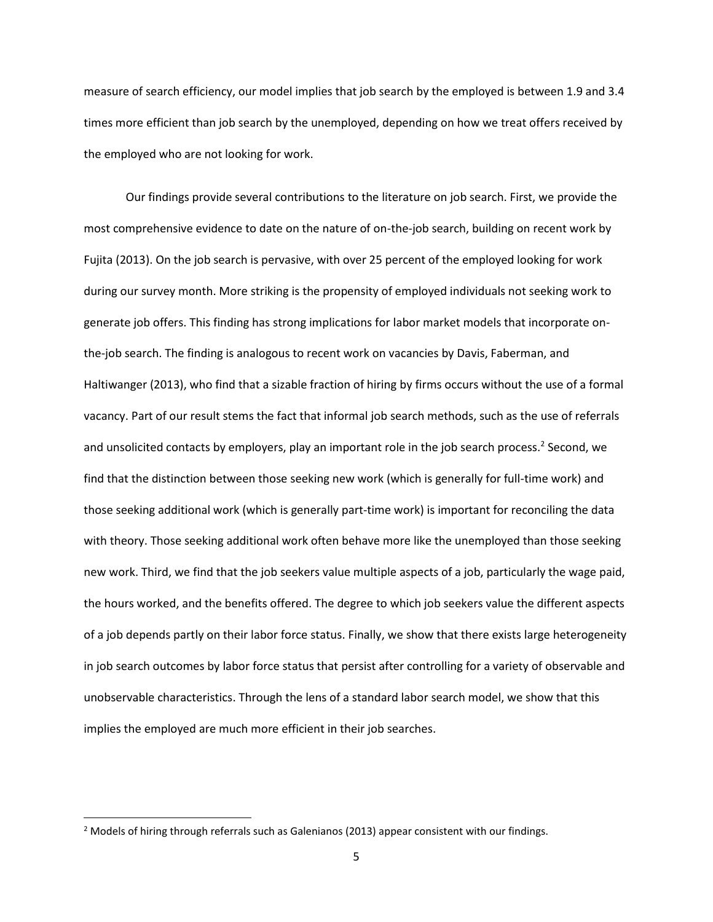measure of search efficiency, our model implies that job search by the employed is between 1.9 and 3.4 times more efficient than job search by the unemployed, depending on how we treat offers received by the employed who are not looking for work.

Our findings provide several contributions to the literature on job search. First, we provide the most comprehensive evidence to date on the nature of on-the-job search, building on recent work by Fujita (2013). On the job search is pervasive, with over 25 percent of the employed looking for work during our survey month. More striking is the propensity of employed individuals not seeking work to generate job offers. This finding has strong implications for labor market models that incorporate onthe-job search. The finding is analogous to recent work on vacancies by Davis, Faberman, and Haltiwanger (2013), who find that a sizable fraction of hiring by firms occurs without the use of a formal vacancy. Part of our result stems the fact that informal job search methods, such as the use of referrals and unsolicited contacts by employers, play an important role in the job search process.<sup>2</sup> Second, we find that the distinction between those seeking new work (which is generally for full-time work) and those seeking additional work (which is generally part-time work) is important for reconciling the data with theory. Those seeking additional work often behave more like the unemployed than those seeking new work. Third, we find that the job seekers value multiple aspects of a job, particularly the wage paid, the hours worked, and the benefits offered. The degree to which job seekers value the different aspects of a job depends partly on their labor force status. Finally, we show that there exists large heterogeneity in job search outcomes by labor force status that persist after controlling for a variety of observable and unobservable characteristics. Through the lens of a standard labor search model, we show that this implies the employed are much more efficient in their job searches.

 $\overline{\phantom{a}}$ 

<sup>&</sup>lt;sup>2</sup> Models of hiring through referrals such as Galenianos (2013) appear consistent with our findings.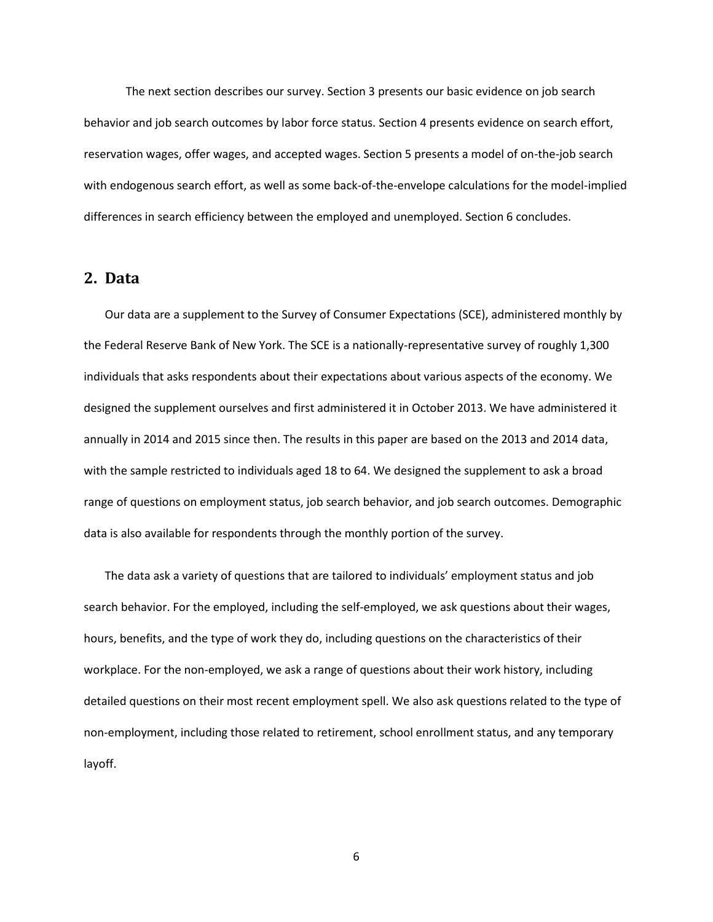The next section describes our survey. Section 3 presents our basic evidence on job search behavior and job search outcomes by labor force status. Section 4 presents evidence on search effort, reservation wages, offer wages, and accepted wages. Section 5 presents a model of on-the-job search with endogenous search effort, as well as some back-of-the-envelope calculations for the model-implied differences in search efficiency between the employed and unemployed. Section 6 concludes.

## **2. Data**

Our data are a supplement to the Survey of Consumer Expectations (SCE), administered monthly by the Federal Reserve Bank of New York. The SCE is a nationally-representative survey of roughly 1,300 individuals that asks respondents about their expectations about various aspects of the economy. We designed the supplement ourselves and first administered it in October 2013. We have administered it annually in 2014 and 2015 since then. The results in this paper are based on the 2013 and 2014 data, with the sample restricted to individuals aged 18 to 64. We designed the supplement to ask a broad range of questions on employment status, job search behavior, and job search outcomes. Demographic data is also available for respondents through the monthly portion of the survey.

The data ask a variety of questions that are tailored to individuals' employment status and job search behavior. For the employed, including the self-employed, we ask questions about their wages, hours, benefits, and the type of work they do, including questions on the characteristics of their workplace. For the non-employed, we ask a range of questions about their work history, including detailed questions on their most recent employment spell. We also ask questions related to the type of non-employment, including those related to retirement, school enrollment status, and any temporary layoff.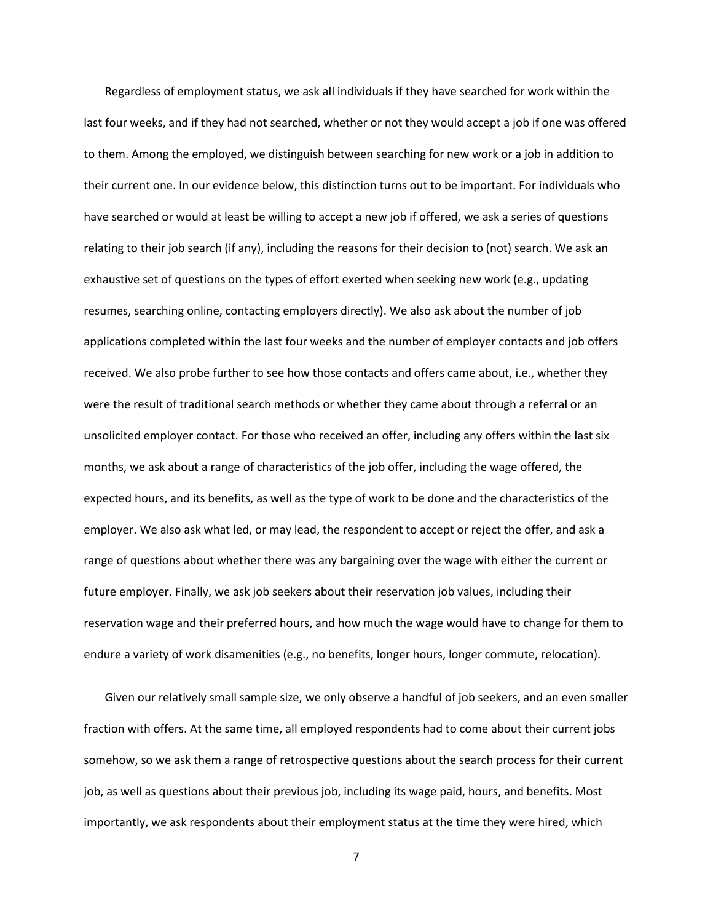Regardless of employment status, we ask all individuals if they have searched for work within the last four weeks, and if they had not searched, whether or not they would accept a job if one was offered to them. Among the employed, we distinguish between searching for new work or a job in addition to their current one. In our evidence below, this distinction turns out to be important. For individuals who have searched or would at least be willing to accept a new job if offered, we ask a series of questions relating to their job search (if any), including the reasons for their decision to (not) search. We ask an exhaustive set of questions on the types of effort exerted when seeking new work (e.g., updating resumes, searching online, contacting employers directly). We also ask about the number of job applications completed within the last four weeks and the number of employer contacts and job offers received. We also probe further to see how those contacts and offers came about, i.e., whether they were the result of traditional search methods or whether they came about through a referral or an unsolicited employer contact. For those who received an offer, including any offers within the last six months, we ask about a range of characteristics of the job offer, including the wage offered, the expected hours, and its benefits, as well as the type of work to be done and the characteristics of the employer. We also ask what led, or may lead, the respondent to accept or reject the offer, and ask a range of questions about whether there was any bargaining over the wage with either the current or future employer. Finally, we ask job seekers about their reservation job values, including their reservation wage and their preferred hours, and how much the wage would have to change for them to endure a variety of work disamenities (e.g., no benefits, longer hours, longer commute, relocation).

Given our relatively small sample size, we only observe a handful of job seekers, and an even smaller fraction with offers. At the same time, all employed respondents had to come about their current jobs somehow, so we ask them a range of retrospective questions about the search process for their current job, as well as questions about their previous job, including its wage paid, hours, and benefits. Most importantly, we ask respondents about their employment status at the time they were hired, which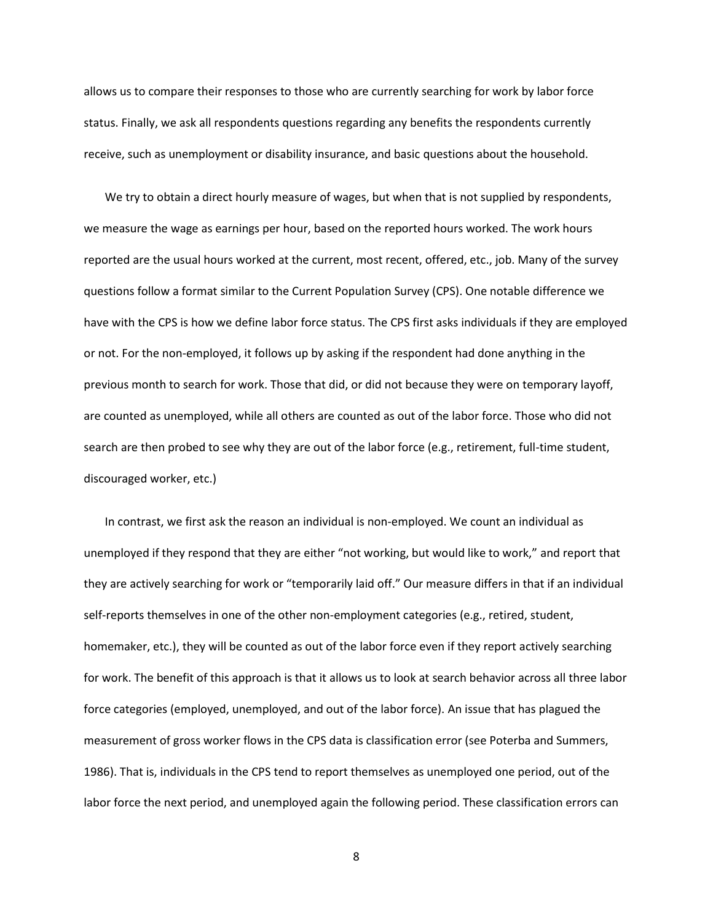allows us to compare their responses to those who are currently searching for work by labor force status. Finally, we ask all respondents questions regarding any benefits the respondents currently receive, such as unemployment or disability insurance, and basic questions about the household.

We try to obtain a direct hourly measure of wages, but when that is not supplied by respondents, we measure the wage as earnings per hour, based on the reported hours worked. The work hours reported are the usual hours worked at the current, most recent, offered, etc., job. Many of the survey questions follow a format similar to the Current Population Survey (CPS). One notable difference we have with the CPS is how we define labor force status. The CPS first asks individuals if they are employed or not. For the non-employed, it follows up by asking if the respondent had done anything in the previous month to search for work. Those that did, or did not because they were on temporary layoff, are counted as unemployed, while all others are counted as out of the labor force. Those who did not search are then probed to see why they are out of the labor force (e.g., retirement, full-time student, discouraged worker, etc.)

In contrast, we first ask the reason an individual is non-employed. We count an individual as unemployed if they respond that they are either "not working, but would like to work," and report that they are actively searching for work or "temporarily laid off." Our measure differs in that if an individual self-reports themselves in one of the other non-employment categories (e.g., retired, student, homemaker, etc.), they will be counted as out of the labor force even if they report actively searching for work. The benefit of this approach is that it allows us to look at search behavior across all three labor force categories (employed, unemployed, and out of the labor force). An issue that has plagued the measurement of gross worker flows in the CPS data is classification error (see Poterba and Summers, 1986). That is, individuals in the CPS tend to report themselves as unemployed one period, out of the labor force the next period, and unemployed again the following period. These classification errors can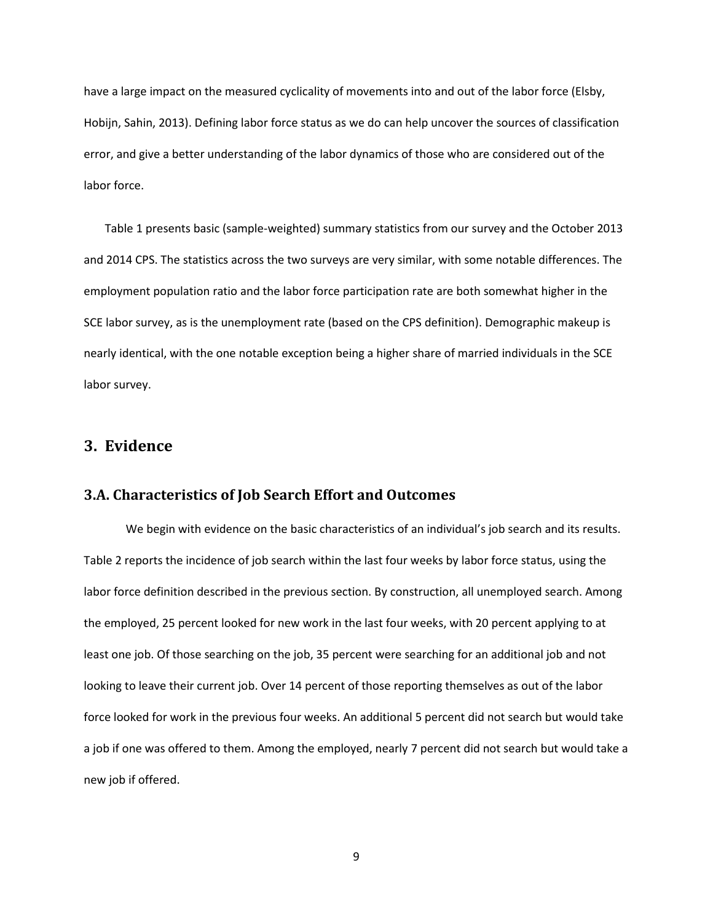have a large impact on the measured cyclicality of movements into and out of the labor force (Elsby, Hobijn, Sahin, 2013). Defining labor force status as we do can help uncover the sources of classification error, and give a better understanding of the labor dynamics of those who are considered out of the labor force.

Table 1 presents basic (sample-weighted) summary statistics from our survey and the October 2013 and 2014 CPS. The statistics across the two surveys are very similar, with some notable differences. The employment population ratio and the labor force participation rate are both somewhat higher in the SCE labor survey, as is the unemployment rate (based on the CPS definition). Demographic makeup is nearly identical, with the one notable exception being a higher share of married individuals in the SCE labor survey.

## **3. Evidence**

### **3.A. Characteristics of Job Search Effort and Outcomes**

We begin with evidence on the basic characteristics of an individual's job search and its results. Table 2 reports the incidence of job search within the last four weeks by labor force status, using the labor force definition described in the previous section. By construction, all unemployed search. Among the employed, 25 percent looked for new work in the last four weeks, with 20 percent applying to at least one job. Of those searching on the job, 35 percent were searching for an additional job and not looking to leave their current job. Over 14 percent of those reporting themselves as out of the labor force looked for work in the previous four weeks. An additional 5 percent did not search but would take a job if one was offered to them. Among the employed, nearly 7 percent did not search but would take a new job if offered.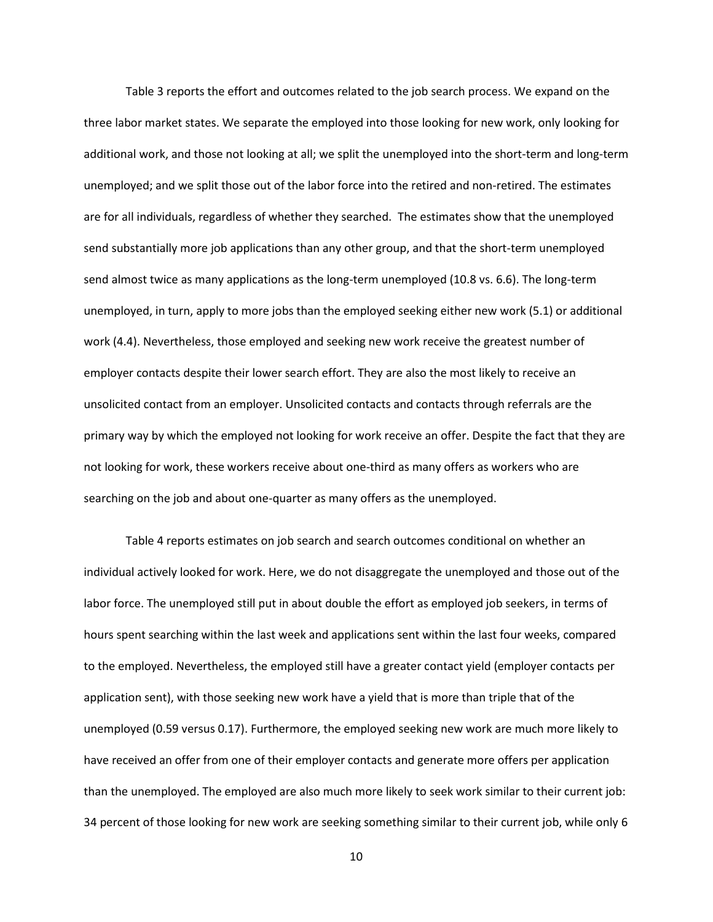Table 3 reports the effort and outcomes related to the job search process. We expand on the three labor market states. We separate the employed into those looking for new work, only looking for additional work, and those not looking at all; we split the unemployed into the short-term and long-term unemployed; and we split those out of the labor force into the retired and non-retired. The estimates are for all individuals, regardless of whether they searched. The estimates show that the unemployed send substantially more job applications than any other group, and that the short-term unemployed send almost twice as many applications as the long-term unemployed (10.8 vs. 6.6). The long-term unemployed, in turn, apply to more jobs than the employed seeking either new work (5.1) or additional work (4.4). Nevertheless, those employed and seeking new work receive the greatest number of employer contacts despite their lower search effort. They are also the most likely to receive an unsolicited contact from an employer. Unsolicited contacts and contacts through referrals are the primary way by which the employed not looking for work receive an offer. Despite the fact that they are not looking for work, these workers receive about one-third as many offers as workers who are searching on the job and about one-quarter as many offers as the unemployed.

Table 4 reports estimates on job search and search outcomes conditional on whether an individual actively looked for work. Here, we do not disaggregate the unemployed and those out of the labor force. The unemployed still put in about double the effort as employed job seekers, in terms of hours spent searching within the last week and applications sent within the last four weeks, compared to the employed. Nevertheless, the employed still have a greater contact yield (employer contacts per application sent), with those seeking new work have a yield that is more than triple that of the unemployed (0.59 versus 0.17). Furthermore, the employed seeking new work are much more likely to have received an offer from one of their employer contacts and generate more offers per application than the unemployed. The employed are also much more likely to seek work similar to their current job: 34 percent of those looking for new work are seeking something similar to their current job, while only 6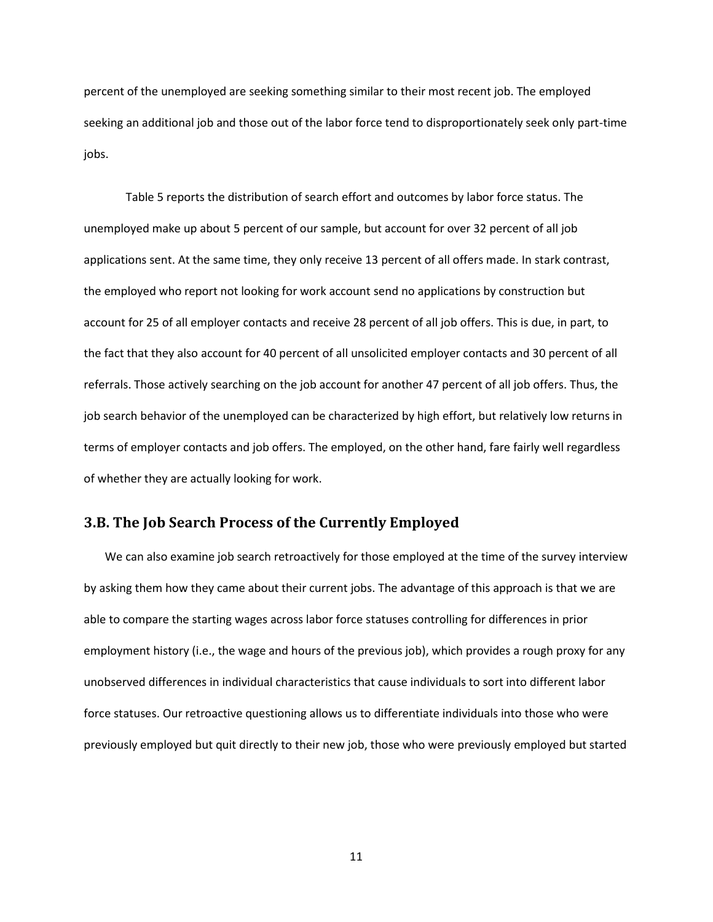percent of the unemployed are seeking something similar to their most recent job. The employed seeking an additional job and those out of the labor force tend to disproportionately seek only part-time jobs.

Table 5 reports the distribution of search effort and outcomes by labor force status. The unemployed make up about 5 percent of our sample, but account for over 32 percent of all job applications sent. At the same time, they only receive 13 percent of all offers made. In stark contrast, the employed who report not looking for work account send no applications by construction but account for 25 of all employer contacts and receive 28 percent of all job offers. This is due, in part, to the fact that they also account for 40 percent of all unsolicited employer contacts and 30 percent of all referrals. Those actively searching on the job account for another 47 percent of all job offers. Thus, the job search behavior of the unemployed can be characterized by high effort, but relatively low returns in terms of employer contacts and job offers. The employed, on the other hand, fare fairly well regardless of whether they are actually looking for work.

### **3.B. The Job Search Process of the Currently Employed**

We can also examine job search retroactively for those employed at the time of the survey interview by asking them how they came about their current jobs. The advantage of this approach is that we are able to compare the starting wages across labor force statuses controlling for differences in prior employment history (i.e., the wage and hours of the previous job), which provides a rough proxy for any unobserved differences in individual characteristics that cause individuals to sort into different labor force statuses. Our retroactive questioning allows us to differentiate individuals into those who were previously employed but quit directly to their new job, those who were previously employed but started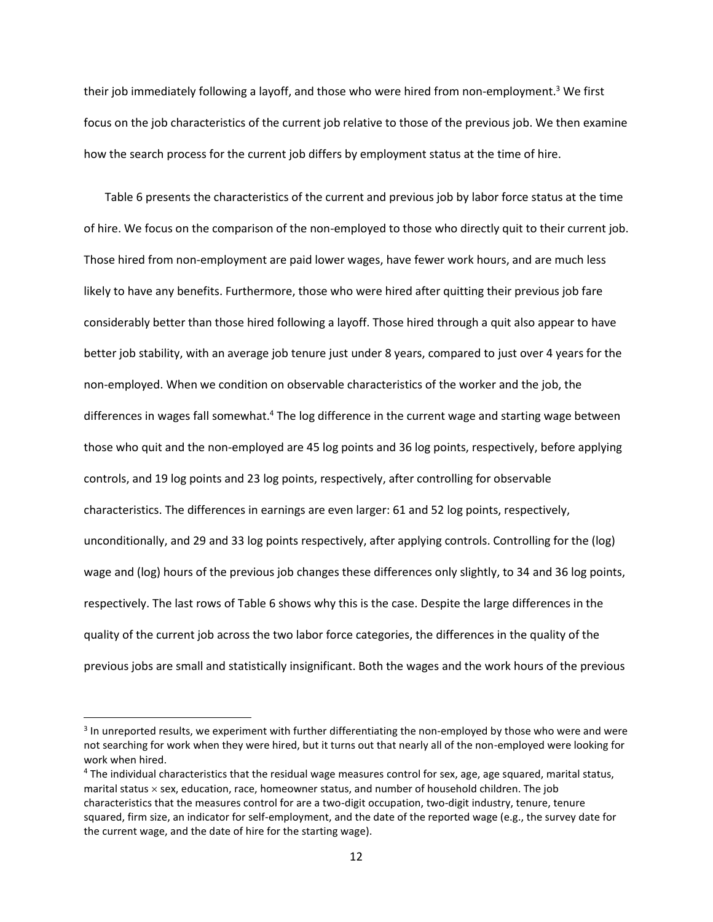their job immediately following a layoff, and those who were hired from non-employment.<sup>3</sup> We first focus on the job characteristics of the current job relative to those of the previous job. We then examine how the search process for the current job differs by employment status at the time of hire.

Table 6 presents the characteristics of the current and previous job by labor force status at the time of hire. We focus on the comparison of the non-employed to those who directly quit to their current job. Those hired from non-employment are paid lower wages, have fewer work hours, and are much less likely to have any benefits. Furthermore, those who were hired after quitting their previous job fare considerably better than those hired following a layoff. Those hired through a quit also appear to have better job stability, with an average job tenure just under 8 years, compared to just over 4 years for the non-employed. When we condition on observable characteristics of the worker and the job, the differences in wages fall somewhat.<sup>4</sup> The log difference in the current wage and starting wage between those who quit and the non-employed are 45 log points and 36 log points, respectively, before applying controls, and 19 log points and 23 log points, respectively, after controlling for observable characteristics. The differences in earnings are even larger: 61 and 52 log points, respectively, unconditionally, and 29 and 33 log points respectively, after applying controls. Controlling for the (log) wage and (log) hours of the previous job changes these differences only slightly, to 34 and 36 log points, respectively. The last rows of Table 6 shows why this is the case. Despite the large differences in the quality of the current job across the two labor force categories, the differences in the quality of the previous jobs are small and statistically insignificant. Both the wages and the work hours of the previous

 $\overline{\phantom{a}}$ 

<sup>&</sup>lt;sup>3</sup> In unreported results, we experiment with further differentiating the non-employed by those who were and were not searching for work when they were hired, but it turns out that nearly all of the non-employed were looking for work when hired.

<sup>4</sup> The individual characteristics that the residual wage measures control for sex, age, age squared, marital status, marital status  $\times$  sex, education, race, homeowner status, and number of household children. The job characteristics that the measures control for are a two-digit occupation, two-digit industry, tenure, tenure squared, firm size, an indicator for self-employment, and the date of the reported wage (e.g., the survey date for the current wage, and the date of hire for the starting wage).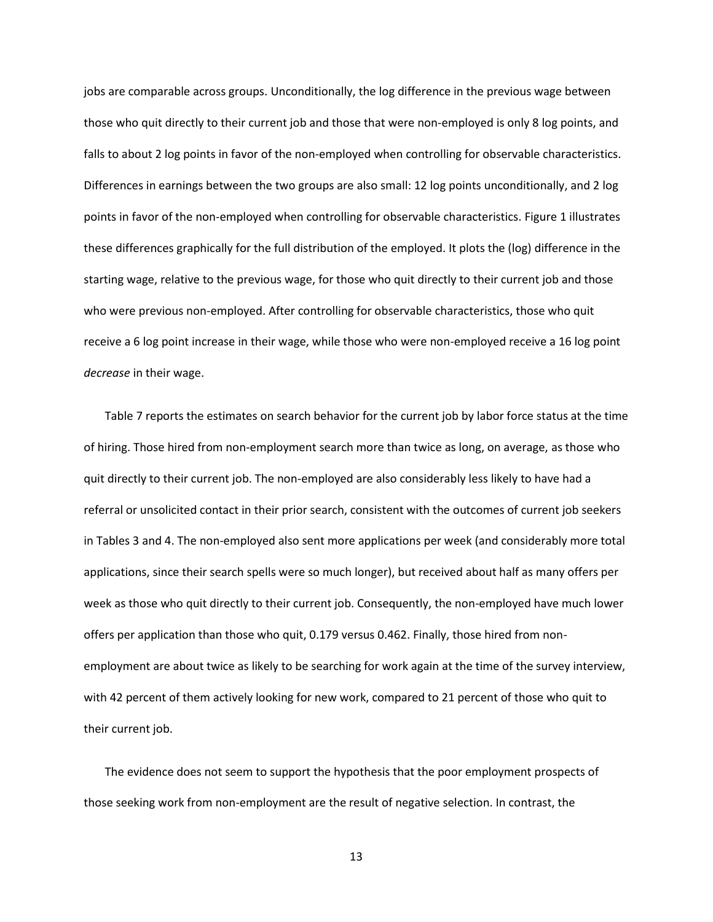jobs are comparable across groups. Unconditionally, the log difference in the previous wage between those who quit directly to their current job and those that were non-employed is only 8 log points, and falls to about 2 log points in favor of the non-employed when controlling for observable characteristics. Differences in earnings between the two groups are also small: 12 log points unconditionally, and 2 log points in favor of the non-employed when controlling for observable characteristics. Figure 1 illustrates these differences graphically for the full distribution of the employed. It plots the (log) difference in the starting wage, relative to the previous wage, for those who quit directly to their current job and those who were previous non-employed. After controlling for observable characteristics, those who quit receive a 6 log point increase in their wage, while those who were non-employed receive a 16 log point *decrease* in their wage.

Table 7 reports the estimates on search behavior for the current job by labor force status at the time of hiring. Those hired from non-employment search more than twice as long, on average, as those who quit directly to their current job. The non-employed are also considerably less likely to have had a referral or unsolicited contact in their prior search, consistent with the outcomes of current job seekers in Tables 3 and 4. The non-employed also sent more applications per week (and considerably more total applications, since their search spells were so much longer), but received about half as many offers per week as those who quit directly to their current job. Consequently, the non-employed have much lower offers per application than those who quit, 0.179 versus 0.462. Finally, those hired from nonemployment are about twice as likely to be searching for work again at the time of the survey interview, with 42 percent of them actively looking for new work, compared to 21 percent of those who quit to their current job.

The evidence does not seem to support the hypothesis that the poor employment prospects of those seeking work from non-employment are the result of negative selection. In contrast, the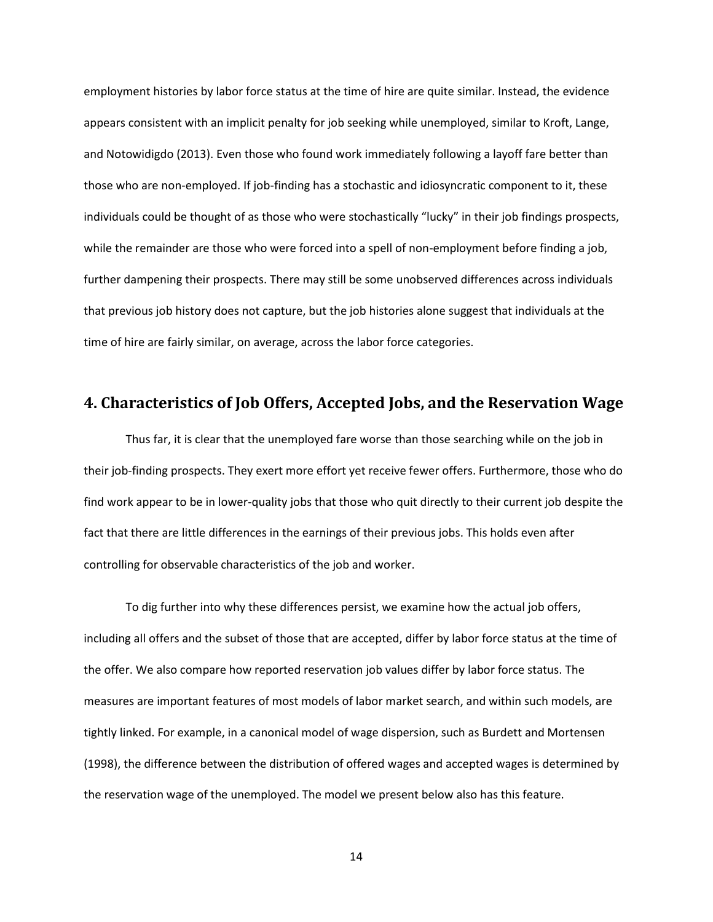employment histories by labor force status at the time of hire are quite similar. Instead, the evidence appears consistent with an implicit penalty for job seeking while unemployed, similar to Kroft, Lange, and Notowidigdo (2013). Even those who found work immediately following a layoff fare better than those who are non-employed. If job-finding has a stochastic and idiosyncratic component to it, these individuals could be thought of as those who were stochastically "lucky" in their job findings prospects, while the remainder are those who were forced into a spell of non-employment before finding a job, further dampening their prospects. There may still be some unobserved differences across individuals that previous job history does not capture, but the job histories alone suggest that individuals at the time of hire are fairly similar, on average, across the labor force categories.

# **4. Characteristics of Job Offers, Accepted Jobs, and the Reservation Wage**

Thus far, it is clear that the unemployed fare worse than those searching while on the job in their job-finding prospects. They exert more effort yet receive fewer offers. Furthermore, those who do find work appear to be in lower-quality jobs that those who quit directly to their current job despite the fact that there are little differences in the earnings of their previous jobs. This holds even after controlling for observable characteristics of the job and worker.

To dig further into why these differences persist, we examine how the actual job offers, including all offers and the subset of those that are accepted, differ by labor force status at the time of the offer. We also compare how reported reservation job values differ by labor force status. The measures are important features of most models of labor market search, and within such models, are tightly linked. For example, in a canonical model of wage dispersion, such as Burdett and Mortensen (1998), the difference between the distribution of offered wages and accepted wages is determined by the reservation wage of the unemployed. The model we present below also has this feature.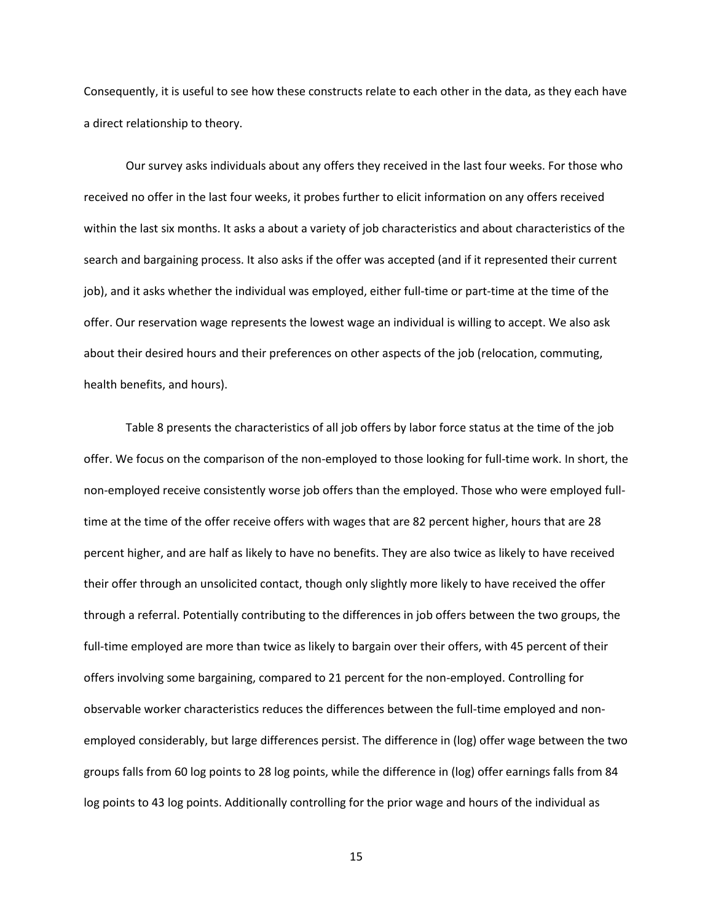Consequently, it is useful to see how these constructs relate to each other in the data, as they each have a direct relationship to theory.

Our survey asks individuals about any offers they received in the last four weeks. For those who received no offer in the last four weeks, it probes further to elicit information on any offers received within the last six months. It asks a about a variety of job characteristics and about characteristics of the search and bargaining process. It also asks if the offer was accepted (and if it represented their current job), and it asks whether the individual was employed, either full-time or part-time at the time of the offer. Our reservation wage represents the lowest wage an individual is willing to accept. We also ask about their desired hours and their preferences on other aspects of the job (relocation, commuting, health benefits, and hours).

Table 8 presents the characteristics of all job offers by labor force status at the time of the job offer. We focus on the comparison of the non-employed to those looking for full-time work. In short, the non-employed receive consistently worse job offers than the employed. Those who were employed fulltime at the time of the offer receive offers with wages that are 82 percent higher, hours that are 28 percent higher, and are half as likely to have no benefits. They are also twice as likely to have received their offer through an unsolicited contact, though only slightly more likely to have received the offer through a referral. Potentially contributing to the differences in job offers between the two groups, the full-time employed are more than twice as likely to bargain over their offers, with 45 percent of their offers involving some bargaining, compared to 21 percent for the non-employed. Controlling for observable worker characteristics reduces the differences between the full-time employed and nonemployed considerably, but large differences persist. The difference in (log) offer wage between the two groups falls from 60 log points to 28 log points, while the difference in (log) offer earnings falls from 84 log points to 43 log points. Additionally controlling for the prior wage and hours of the individual as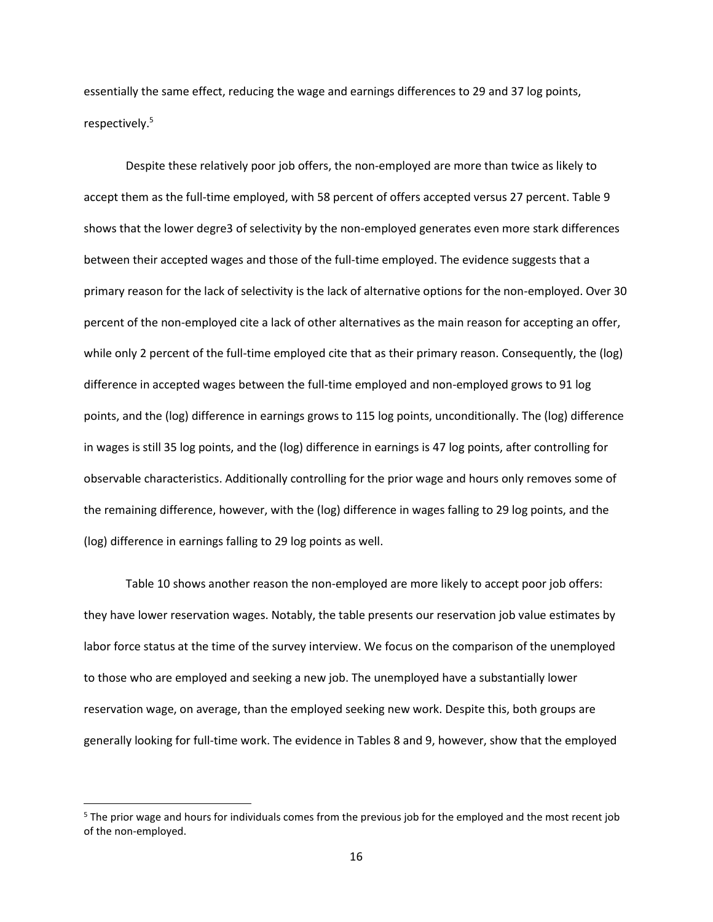essentially the same effect, reducing the wage and earnings differences to 29 and 37 log points, respectively.<sup>5</sup>

Despite these relatively poor job offers, the non-employed are more than twice as likely to accept them as the full-time employed, with 58 percent of offers accepted versus 27 percent. Table 9 shows that the lower degre3 of selectivity by the non-employed generates even more stark differences between their accepted wages and those of the full-time employed. The evidence suggests that a primary reason for the lack of selectivity is the lack of alternative options for the non-employed. Over 30 percent of the non-employed cite a lack of other alternatives as the main reason for accepting an offer, while only 2 percent of the full-time employed cite that as their primary reason. Consequently, the (log) difference in accepted wages between the full-time employed and non-employed grows to 91 log points, and the (log) difference in earnings grows to 115 log points, unconditionally. The (log) difference in wages is still 35 log points, and the (log) difference in earnings is 47 log points, after controlling for observable characteristics. Additionally controlling for the prior wage and hours only removes some of the remaining difference, however, with the (log) difference in wages falling to 29 log points, and the (log) difference in earnings falling to 29 log points as well.

Table 10 shows another reason the non-employed are more likely to accept poor job offers: they have lower reservation wages. Notably, the table presents our reservation job value estimates by labor force status at the time of the survey interview. We focus on the comparison of the unemployed to those who are employed and seeking a new job. The unemployed have a substantially lower reservation wage, on average, than the employed seeking new work. Despite this, both groups are generally looking for full-time work. The evidence in Tables 8 and 9, however, show that the employed

l

<sup>&</sup>lt;sup>5</sup> The prior wage and hours for individuals comes from the previous job for the employed and the most recent job of the non-employed.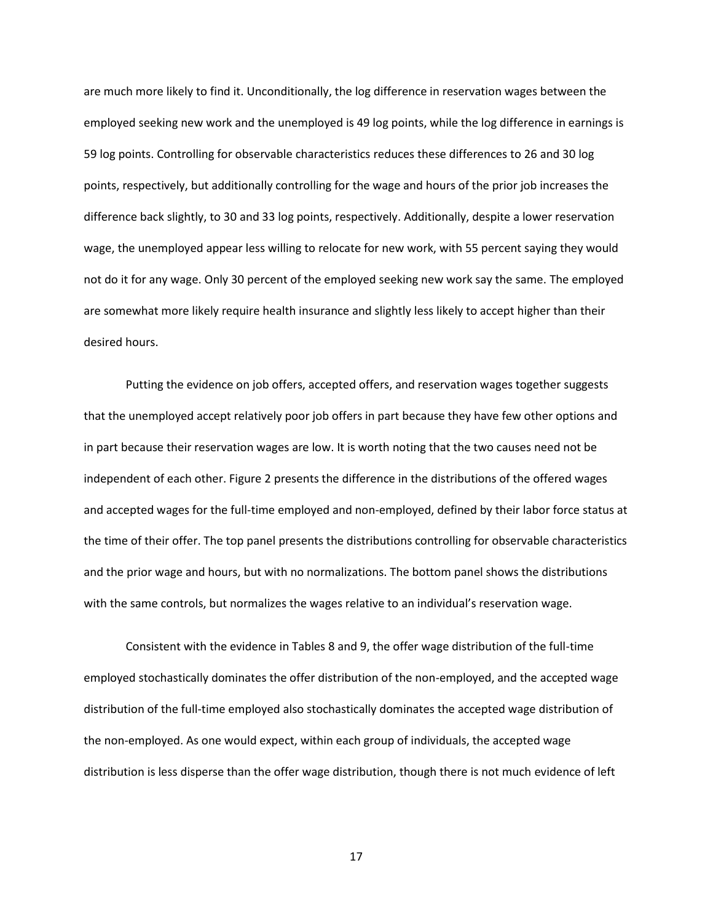are much more likely to find it. Unconditionally, the log difference in reservation wages between the employed seeking new work and the unemployed is 49 log points, while the log difference in earnings is 59 log points. Controlling for observable characteristics reduces these differences to 26 and 30 log points, respectively, but additionally controlling for the wage and hours of the prior job increases the difference back slightly, to 30 and 33 log points, respectively. Additionally, despite a lower reservation wage, the unemployed appear less willing to relocate for new work, with 55 percent saying they would not do it for any wage. Only 30 percent of the employed seeking new work say the same. The employed are somewhat more likely require health insurance and slightly less likely to accept higher than their desired hours.

Putting the evidence on job offers, accepted offers, and reservation wages together suggests that the unemployed accept relatively poor job offers in part because they have few other options and in part because their reservation wages are low. It is worth noting that the two causes need not be independent of each other. Figure 2 presents the difference in the distributions of the offered wages and accepted wages for the full-time employed and non-employed, defined by their labor force status at the time of their offer. The top panel presents the distributions controlling for observable characteristics and the prior wage and hours, but with no normalizations. The bottom panel shows the distributions with the same controls, but normalizes the wages relative to an individual's reservation wage.

Consistent with the evidence in Tables 8 and 9, the offer wage distribution of the full-time employed stochastically dominates the offer distribution of the non-employed, and the accepted wage distribution of the full-time employed also stochastically dominates the accepted wage distribution of the non-employed. As one would expect, within each group of individuals, the accepted wage distribution is less disperse than the offer wage distribution, though there is not much evidence of left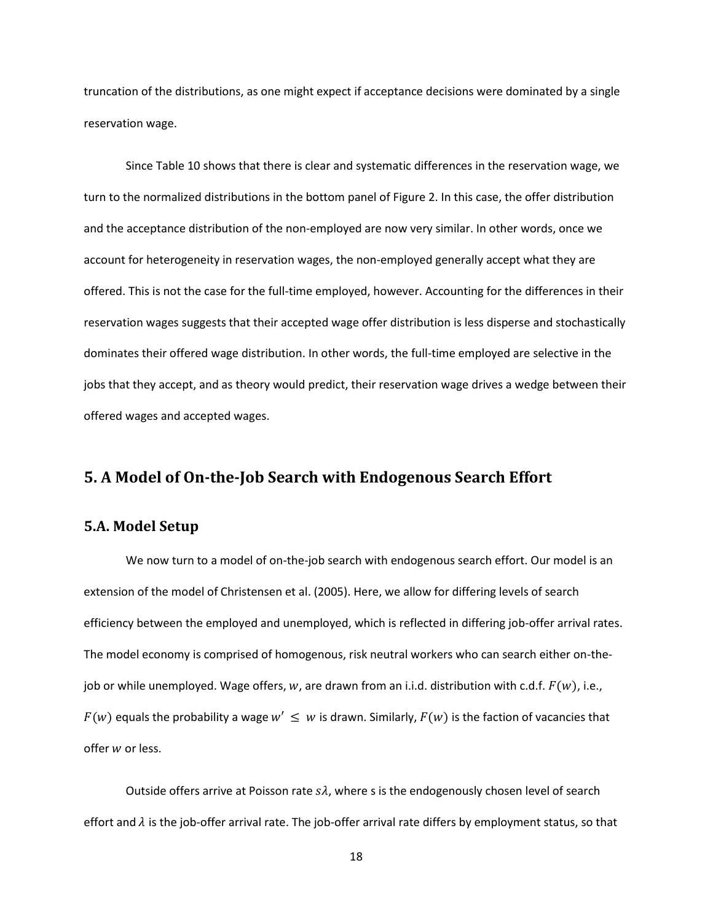truncation of the distributions, as one might expect if acceptance decisions were dominated by a single reservation wage.

Since Table 10 shows that there is clear and systematic differences in the reservation wage, we turn to the normalized distributions in the bottom panel of Figure 2. In this case, the offer distribution and the acceptance distribution of the non-employed are now very similar. In other words, once we account for heterogeneity in reservation wages, the non-employed generally accept what they are offered. This is not the case for the full-time employed, however. Accounting for the differences in their reservation wages suggests that their accepted wage offer distribution is less disperse and stochastically dominates their offered wage distribution. In other words, the full-time employed are selective in the jobs that they accept, and as theory would predict, their reservation wage drives a wedge between their offered wages and accepted wages.

# **5. A Model of On-the-Job Search with Endogenous Search Effort**

### **5.A. Model Setup**

We now turn to a model of on-the-job search with endogenous search effort. Our model is an extension of the model of Christensen et al. (2005). Here, we allow for differing levels of search efficiency between the employed and unemployed, which is reflected in differing job-offer arrival rates. The model economy is comprised of homogenous, risk neutral workers who can search either on-thejob or while unemployed. Wage offers, w, are drawn from an i.i.d. distribution with c.d.f.  $F(w)$ , i.e.,  $F(w)$  equals the probability a wage  $w' \leq w$  is drawn. Similarly,  $F(w)$  is the faction of vacancies that offer  $w$  or less.

Outside offers arrive at Poisson rate  $s\lambda$ , where s is the endogenously chosen level of search effort and  $\lambda$  is the job-offer arrival rate. The job-offer arrival rate differs by employment status, so that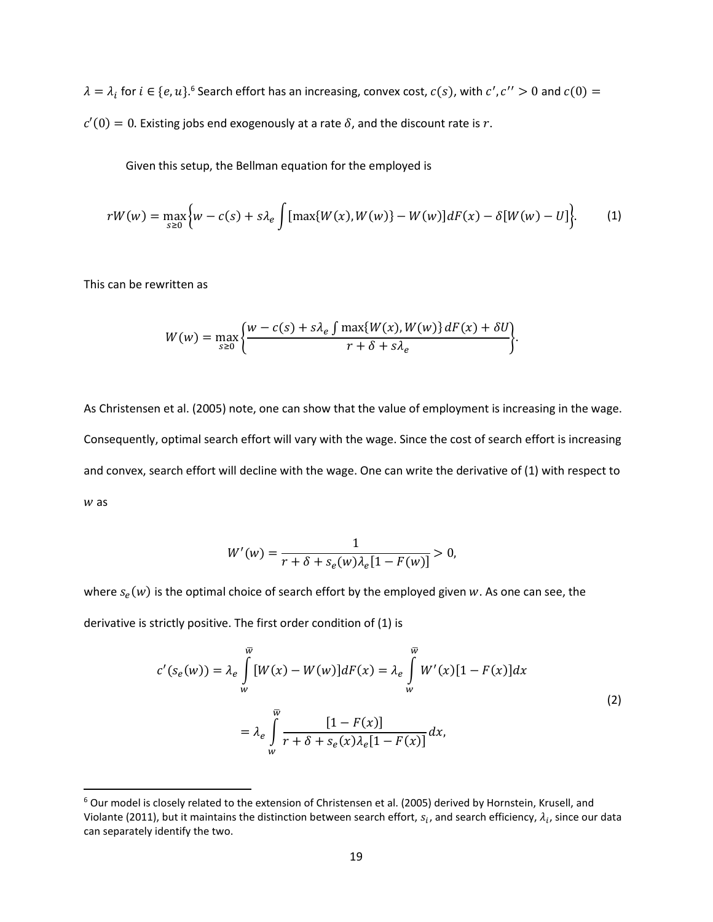$\lambda = \lambda_i$  for  $i \in \{e, u\}$ .<sup>6</sup> Search effort has an increasing, convex cost,  $c(s)$ , with  $c'$ ,  $c'' > 0$  and  $c(0) =$  $c'(0) = 0$ . Existing jobs end exogenously at a rate  $\delta$ , and the discount rate is r.

Given this setup, the Bellman equation for the employed is

$$
rW(w) = \max_{s \ge 0} \Big\{ w - c(s) + s\lambda_e \int [\max\{W(x), W(w)\} - W(w)] dF(x) - \delta[W(w) - U] \Big\}.
$$
 (1)

This can be rewritten as

 $\overline{\phantom{a}}$ 

$$
W(w) = \max_{s \ge 0} \left\{ \frac{w - c(s) + s\lambda_e \int \max\{W(x), W(w)\} dF(x) + \delta U}{r + \delta + s\lambda_e} \right\}.
$$

As Christensen et al. (2005) note, one can show that the value of employment is increasing in the wage. Consequently, optimal search effort will vary with the wage. Since the cost of search effort is increasing and convex, search effort will decline with the wage. One can write the derivative of (1) with respect to  $w$  as

$$
W'(w) = \frac{1}{r + \delta + s_e(w)\lambda_e[1 - F(w)]} > 0,
$$

where  $s_e(w)$  is the optimal choice of search effort by the employed given w. As one can see, the derivative is strictly positive. The first order condition of (1) is

$$
c'(s_e(w)) = \lambda_e \int_w^{\overline{w}} [W(x) - W(w)] dF(x) = \lambda_e \int_w^{\overline{w}} W'(x) [1 - F(x)] dx
$$
  

$$
= \lambda_e \int_w^{\overline{w}} \frac{[1 - F(x)]}{r + \delta + s_e(x) \lambda_e [1 - F(x)]} dx,
$$
 (2)

<sup>&</sup>lt;sup>6</sup> Our model is closely related to the extension of Christensen et al. (2005) derived by Hornstein, Krusell, and Violante (2011), but it maintains the distinction between search effort,  $s_i$ , and search efficiency,  $\lambda_i$ , since our data can separately identify the two.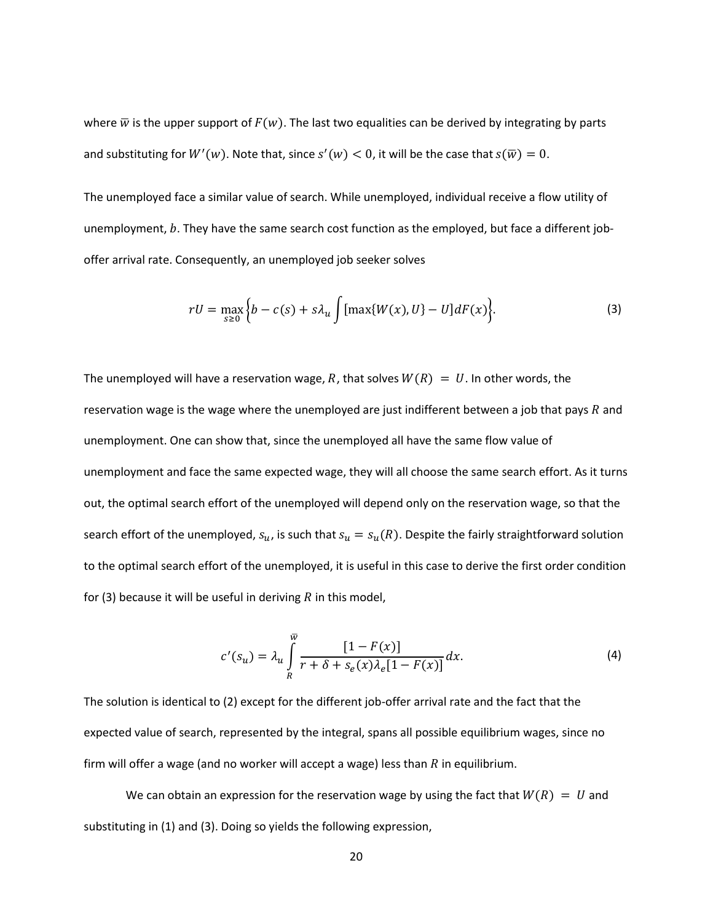where  $\overline{w}$  is the upper support of  $F(w)$ . The last two equalities can be derived by integrating by parts and substituting for  $W'(w)$ . Note that, since  $s'(w) < 0$ , it will be the case that  $s(\overline{w}) = 0$ .

The unemployed face a similar value of search. While unemployed, individual receive a flow utility of unemployment,  $b$ . They have the same search cost function as the employed, but face a different joboffer arrival rate. Consequently, an unemployed job seeker solves

$$
rU = \max_{s \ge 0} \left\{ b - c(s) + s\lambda_u \int \left[ \max\{W(x), U\} - U \right] dF(x) \right\}.
$$
 (3)

The unemployed will have a reservation wage, R, that solves  $W(R) = U$ . In other words, the reservation wage is the wage where the unemployed are just indifferent between a job that pays  $R$  and unemployment. One can show that, since the unemployed all have the same flow value of unemployment and face the same expected wage, they will all choose the same search effort. As it turns out, the optimal search effort of the unemployed will depend only on the reservation wage, so that the search effort of the unemployed,  $s_u$ , is such that  $s_u = s_u(R)$ . Despite the fairly straightforward solution to the optimal search effort of the unemployed, it is useful in this case to derive the first order condition for (3) because it will be useful in deriving  $R$  in this model,

$$
c'(s_u) = \lambda_u \int\limits_R^{\overline{w}} \frac{[1 - F(x)]}{r + \delta + s_e(x)\lambda_e[1 - F(x)]} dx.
$$
 (4)

The solution is identical to (2) except for the different job-offer arrival rate and the fact that the expected value of search, represented by the integral, spans all possible equilibrium wages, since no firm will offer a wage (and no worker will accept a wage) less than  $R$  in equilibrium.

We can obtain an expression for the reservation wage by using the fact that  $W(R) = U$  and substituting in (1) and (3). Doing so yields the following expression,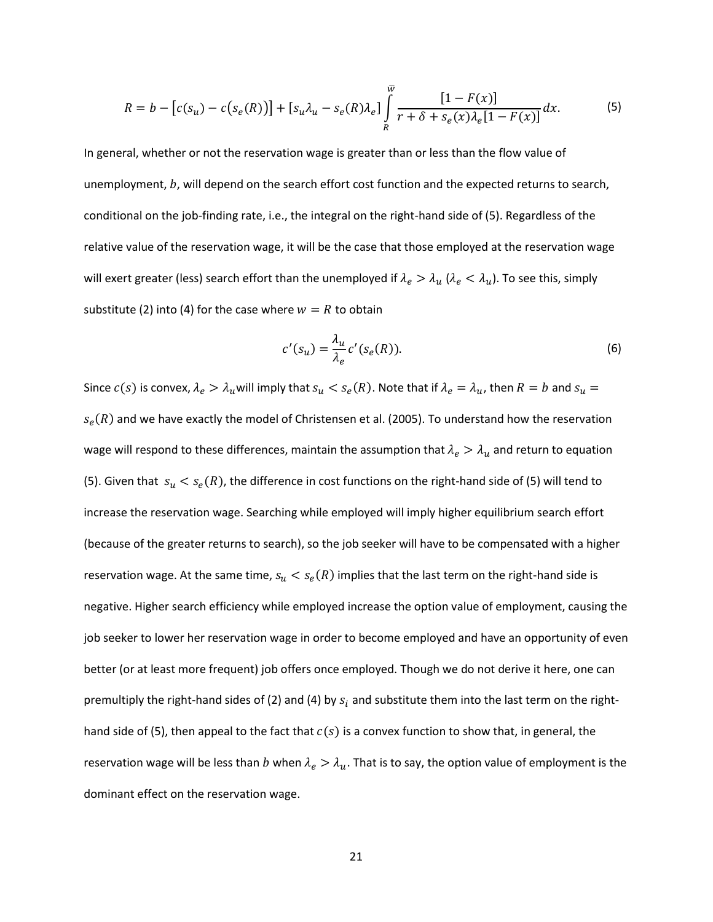$$
R = b - [c(s_u) - c(s_e(R))] + [s_u \lambda_u - s_e(R)\lambda_e] \int\limits_R^{\overline{w}} \frac{[1 - F(x)]}{r + \delta + s_e(x)\lambda_e[1 - F(x)]} dx.
$$
 (5)

In general, whether or not the reservation wage is greater than or less than the flow value of unemployment,  $b$ , will depend on the search effort cost function and the expected returns to search, conditional on the job-finding rate, i.e., the integral on the right-hand side of (5). Regardless of the relative value of the reservation wage, it will be the case that those employed at the reservation wage will exert greater (less) search effort than the unemployed if  $\lambda_e > \lambda_u$  ( $\lambda_e < \lambda_u$ ). To see this, simply substitute (2) into (4) for the case where  $w = R$  to obtain

$$
c'(s_u) = \frac{\lambda_u}{\lambda_e} c'(s_e(R)).
$$
\n(6)

Since  $c(s)$  is convex,  $\lambda_e > \lambda_u$ will imply that  $s_u < s_e(R)$ . Note that if  $\lambda_e = \lambda_u$ , then  $R=b$  and  $s_u=$  $s_e(R)$  and we have exactly the model of Christensen et al. (2005). To understand how the reservation wage will respond to these differences, maintain the assumption that  $\lambda_e > \lambda_u$  and return to equation (5). Given that  $s_u < s_e(R)$ , the difference in cost functions on the right-hand side of (5) will tend to increase the reservation wage. Searching while employed will imply higher equilibrium search effort (because of the greater returns to search), so the job seeker will have to be compensated with a higher reservation wage. At the same time,  $s_u < s_e(R)$  implies that the last term on the right-hand side is negative. Higher search efficiency while employed increase the option value of employment, causing the job seeker to lower her reservation wage in order to become employed and have an opportunity of even better (or at least more frequent) job offers once employed. Though we do not derive it here, one can premultiply the right-hand sides of (2) and (4) by  $s_i$  and substitute them into the last term on the righthand side of (5), then appeal to the fact that  $c(s)$  is a convex function to show that, in general, the reservation wage will be less than b when  $\lambda_e > \lambda_u$ . That is to say, the option value of employment is the dominant effect on the reservation wage.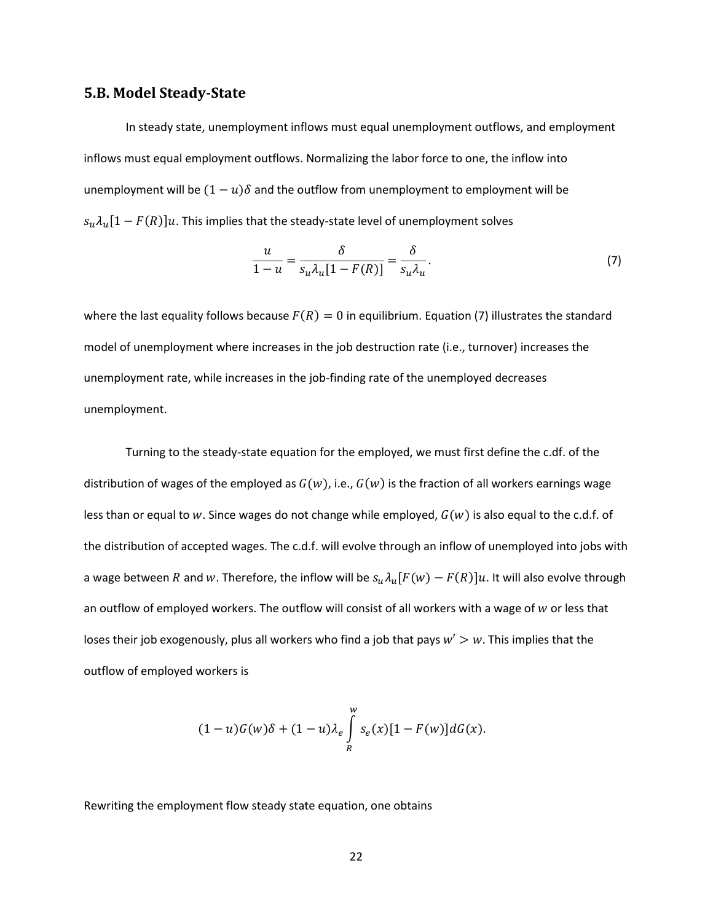### **5.B. Model Steady-State**

In steady state, unemployment inflows must equal unemployment outflows, and employment inflows must equal employment outflows. Normalizing the labor force to one, the inflow into unemployment will be  $(1 - u)\delta$  and the outflow from unemployment to employment will be  $[s_u \lambda_u [1 - F(R)] u$ . This implies that the steady-state level of unemployment solves

$$
\frac{u}{1-u} = \frac{\delta}{s_u \lambda_u [1 - F(R)]} = \frac{\delta}{s_u \lambda_u}.
$$
\n(7)

where the last equality follows because  $F(R) = 0$  in equilibrium. Equation (7) illustrates the standard model of unemployment where increases in the job destruction rate (i.e., turnover) increases the unemployment rate, while increases in the job-finding rate of the unemployed decreases unemployment.

Turning to the steady-state equation for the employed, we must first define the c.df. of the distribution of wages of the employed as  $G(w)$ , i.e.,  $G(w)$  is the fraction of all workers earnings wage less than or equal to w. Since wages do not change while employed,  $G(w)$  is also equal to the c.d.f. of the distribution of accepted wages. The c.d.f. will evolve through an inflow of unemployed into jobs with a wage between R and w. Therefore, the inflow will be  $s_u \lambda_u[F(w) - F(R)]u$ . It will also evolve through an outflow of employed workers. The outflow will consist of all workers with a wage of  $w$  or less that loses their job exogenously, plus all workers who find a job that pays  $w' > w$ . This implies that the outflow of employed workers is

$$
(1-u)G(w)\delta + (1-u)\lambda_e \int\limits_R^w s_e(x)[1 - F(w)]dG(x).
$$

Rewriting the employment flow steady state equation, one obtains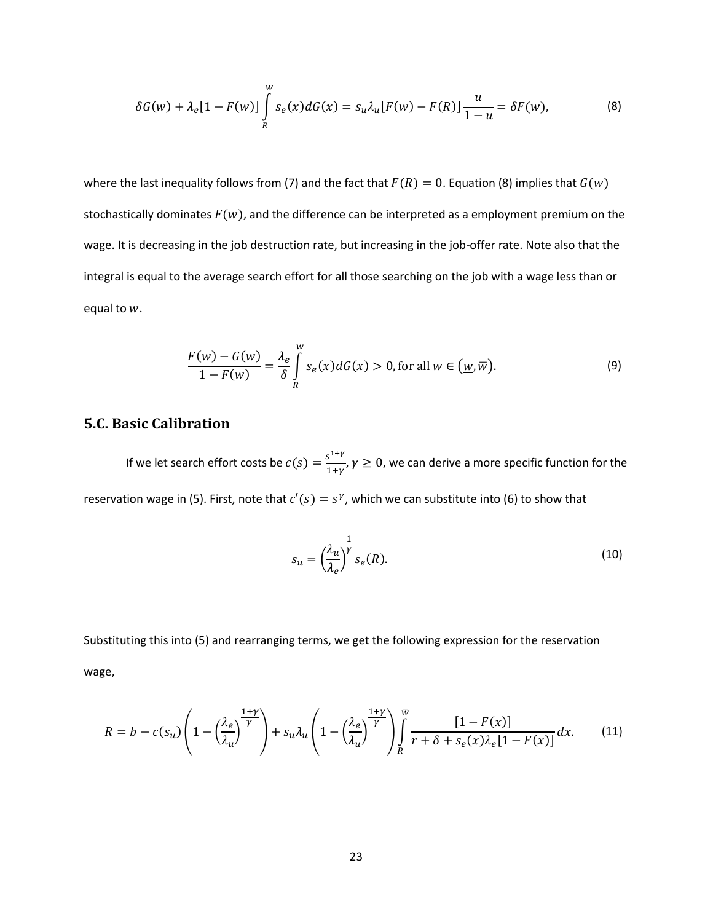$$
\delta G(w) + \lambda_e [1 - F(w)] \int_R^w s_e(x) dG(x) = s_u \lambda_u [F(w) - F(R)] \frac{u}{1 - u} = \delta F(w),
$$
 (8)

where the last inequality follows from (7) and the fact that  $F(R) = 0$ . Equation (8) implies that  $G(w)$ stochastically dominates  $F(w)$ , and the difference can be interpreted as a employment premium on the wage. It is decreasing in the job destruction rate, but increasing in the job-offer rate. Note also that the integral is equal to the average search effort for all those searching on the job with a wage less than or equal to  $w$ .

$$
\frac{F(w) - G(w)}{1 - F(w)} = \frac{\lambda_e}{\delta} \int\limits_R^w s_e(x) dG(x) > 0, \text{ for all } w \in \left(\underline{w}, \overline{w}\right). \tag{9}
$$

# **5.C. Basic Calibration**

If we let search effort costs be  $c(s) = \frac{s^{1+\gamma}}{1+\gamma}$  $\frac{1}{1+\gamma}$ ,  $\gamma \geq 0$ , we can derive a more specific function for the reservation wage in (5). First, note that  $c'(s) = s^{\gamma}$ , which we can substitute into (6) to show that

$$
s_u = \left(\frac{\lambda_u}{\lambda_e}\right)^{\frac{1}{\gamma}} s_e(R). \tag{10}
$$

Substituting this into (5) and rearranging terms, we get the following expression for the reservation wage,

$$
R = b - c(s_u) \left( 1 - \left(\frac{\lambda_e}{\lambda_u}\right)^{\frac{1+\gamma}{\gamma}} \right) + s_u \lambda_u \left( 1 - \left(\frac{\lambda_e}{\lambda_u}\right)^{\frac{1+\gamma}{\gamma}} \right) \int\limits_R^{\overline{w}} \frac{[1 - F(x)]}{r + \delta + s_e(x) \lambda_e [1 - F(x)]} dx. \tag{11}
$$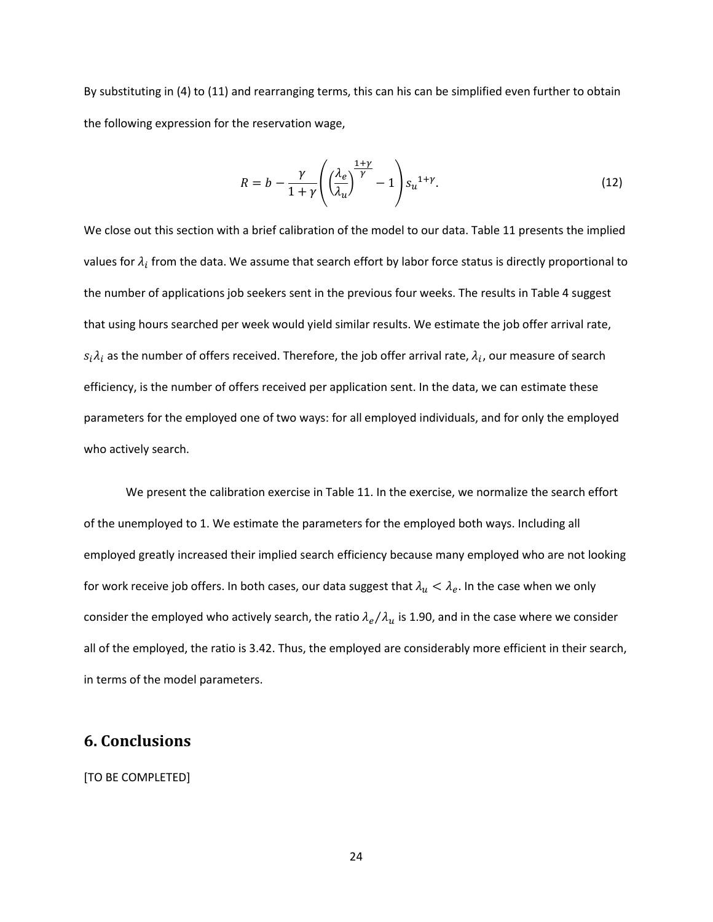By substituting in (4) to (11) and rearranging terms, this can his can be simplified even further to obtain the following expression for the reservation wage,

$$
R = b - \frac{\gamma}{1 + \gamma} \left( \left( \frac{\lambda_e}{\lambda_u} \right)^{\frac{1 + \gamma}{\gamma}} - 1 \right) s_u^{1 + \gamma}.
$$
 (12)

We close out this section with a brief calibration of the model to our data. Table 11 presents the implied values for  $\lambda_i$  from the data. We assume that search effort by labor force status is directly proportional to the number of applications job seekers sent in the previous four weeks. The results in Table 4 suggest that using hours searched per week would yield similar results. We estimate the job offer arrival rate,  $s_i\lambda_i$  as the number of offers received. Therefore, the job offer arrival rate,  $\lambda_i$ , our measure of search efficiency, is the number of offers received per application sent. In the data, we can estimate these parameters for the employed one of two ways: for all employed individuals, and for only the employed who actively search.

We present the calibration exercise in Table 11. In the exercise, we normalize the search effort of the unemployed to 1. We estimate the parameters for the employed both ways. Including all employed greatly increased their implied search efficiency because many employed who are not looking for work receive job offers. In both cases, our data suggest that  $\lambda_u < \lambda_e$ . In the case when we only consider the employed who actively search, the ratio  $\lambda_e/\lambda_u$  is 1.90, and in the case where we consider all of the employed, the ratio is 3.42. Thus, the employed are considerably more efficient in their search, in terms of the model parameters.

# **6. Conclusions**

[TO BE COMPLETED]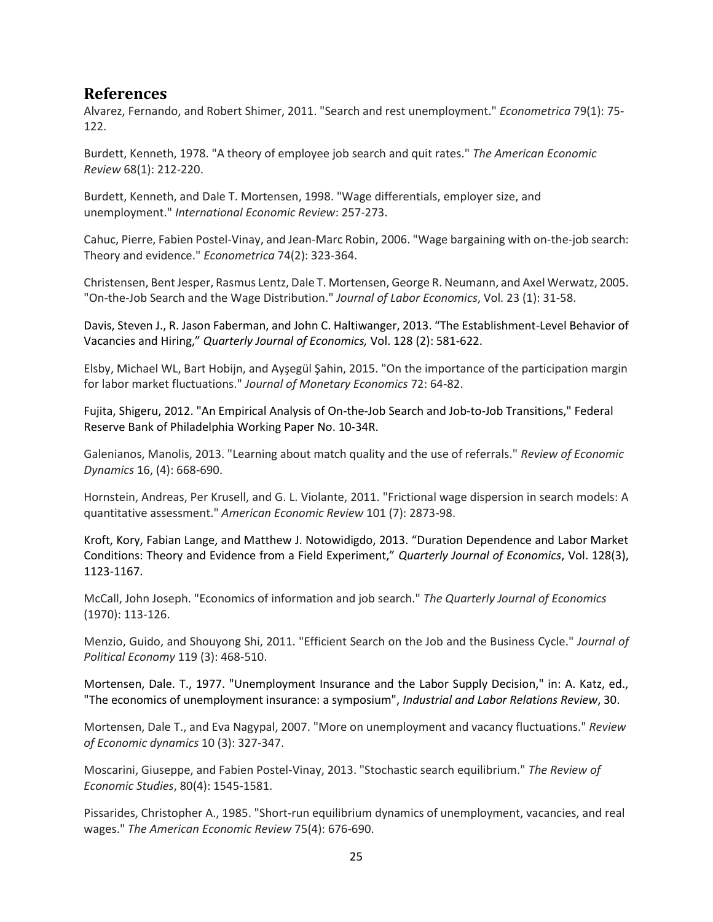# **References**

Alvarez, Fernando, and Robert Shimer, 2011. "Search and rest unemployment." *Econometrica* 79(1): 75- 122.

Burdett, Kenneth, 1978. "A theory of employee job search and quit rates." *The American Economic Review* 68(1): 212-220.

Burdett, Kenneth, and Dale T. Mortensen, 1998. "Wage differentials, employer size, and unemployment." *International Economic Review*: 257-273.

Cahuc, Pierre, Fabien Postel‐Vinay, and Jean‐Marc Robin, 2006. "Wage bargaining with on‐the‐job search: Theory and evidence." *Econometrica* 74(2): 323-364.

Christensen, Bent Jesper, Rasmus Lentz, Dale T. Mortensen, George R. Neumann, and Axel Werwatz, 2005. "On‐the‐Job Search and the Wage Distribution." *Journal of Labor Economics*, Vol. 23 (1): 31-58.

Davis, Steven J., R. Jason Faberman, and John C. Haltiwanger, 2013. "The Establishment-Level Behavior of Vacancies and Hiring," *Quarterly Journal of Economics,* Vol. 128 (2): 581-622.

Elsby, Michael WL, Bart Hobijn, and Ayşegül Şahin, 2015. "On the importance of the participation margin for labor market fluctuations." *Journal of Monetary Economics* 72: 64-82.

Fujita, Shigeru, 2012. "An Empirical Analysis of On-the-Job Search and Job-to-Job Transitions," Federal Reserve Bank of Philadelphia Working Paper No. 10-34R.

Galenianos, Manolis, 2013. "Learning about match quality and the use of referrals." *Review of Economic Dynamics* 16, (4): 668-690.

Hornstein, Andreas, Per Krusell, and G. L. Violante, 2011. "Frictional wage dispersion in search models: A quantitative assessment." *American Economic Review* 101 (7): 2873-98.

Kroft, Kory, Fabian Lange, and Matthew J. Notowidigdo, 2013. "Duration Dependence and Labor Market Conditions: Theory and Evidence from a Field Experiment," *Quarterly Journal of Economics*, Vol. 128(3), 1123-1167.

McCall, John Joseph. "Economics of information and job search." *The Quarterly Journal of Economics* (1970): 113-126.

Menzio, Guido, and Shouyong Shi, 2011. "Efficient Search on the Job and the Business Cycle." *Journal of Political Economy* 119 (3): 468-510.

Mortensen, Dale. T., 1977. "Unemployment Insurance and the Labor Supply Decision," in: A. Katz, ed., "The economics of unemployment insurance: a symposium", *Industrial and Labor Relations Review*, 30.

Mortensen, Dale T., and Eva Nagypal, 2007. "More on unemployment and vacancy fluctuations." *Review of Economic dynamics* 10 (3): 327-347.

Moscarini, Giuseppe, and Fabien Postel-Vinay, 2013. "Stochastic search equilibrium." *The Review of Economic Studies*, 80(4): 1545-1581.

Pissarides, Christopher A., 1985. "Short-run equilibrium dynamics of unemployment, vacancies, and real wages." *The American Economic Review* 75(4): 676-690.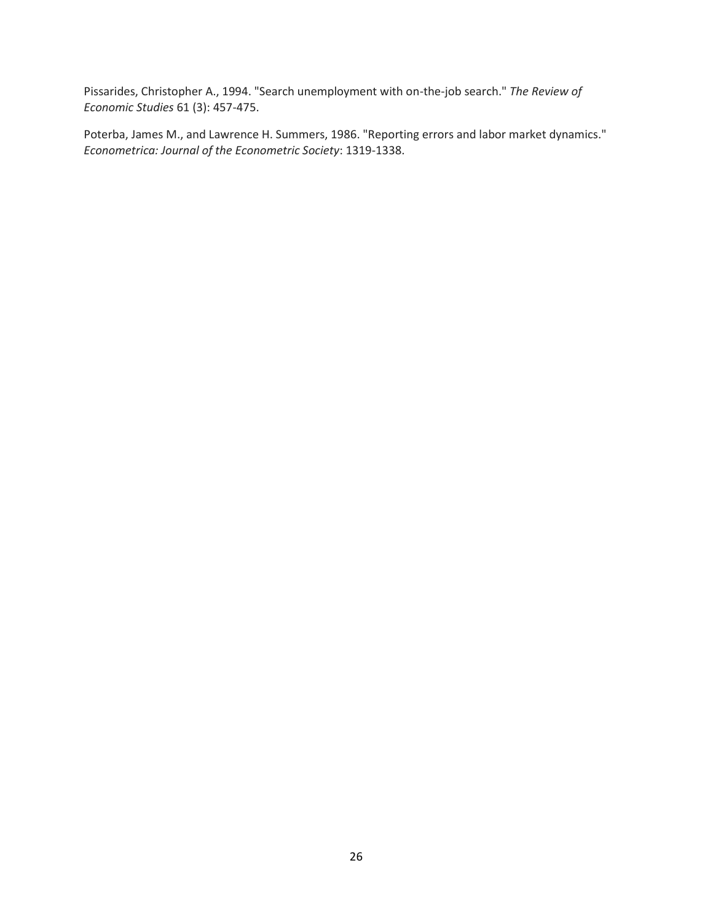Pissarides, Christopher A., 1994. "Search unemployment with on-the-job search." *The Review of Economic Studies* 61 (3): 457-475.

Poterba, James M., and Lawrence H. Summers, 1986. "Reporting errors and labor market dynamics." *Econometrica: Journal of the Econometric Society*: 1319-1338.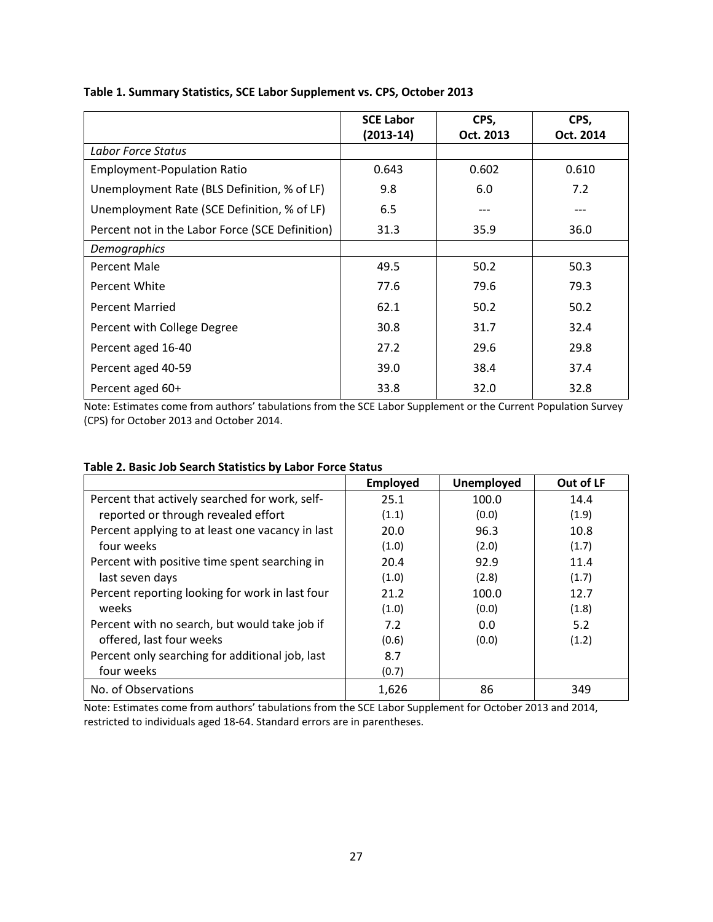|                                                 | <b>SCE Labor</b> | CPS,      | CPS,      |
|-------------------------------------------------|------------------|-----------|-----------|
|                                                 | (2013-14)        | Oct. 2013 | Oct. 2014 |
| Labor Force Status                              |                  |           |           |
| <b>Employment-Population Ratio</b>              | 0.643            | 0.602     | 0.610     |
| Unemployment Rate (BLS Definition, % of LF)     | 9.8              | 6.0       | 7.2       |
| Unemployment Rate (SCE Definition, % of LF)     | 6.5              |           | ---       |
| Percent not in the Labor Force (SCE Definition) | 31.3             | 35.9      | 36.0      |
| Demographics                                    |                  |           |           |
| Percent Male                                    | 49.5             | 50.2      | 50.3      |
| Percent White                                   | 77.6             | 79.6      | 79.3      |
| <b>Percent Married</b>                          | 62.1             | 50.2      | 50.2      |
| Percent with College Degree                     | 30.8             | 31.7      | 32.4      |
| Percent aged 16-40                              | 27.2             | 29.6      | 29.8      |
| Percent aged 40-59                              | 39.0             | 38.4      | 37.4      |
| Percent aged 60+                                | 33.8             | 32.0      | 32.8      |

### **Table 1. Summary Statistics, SCE Labor Supplement vs. CPS, October 2013**

Note: Estimates come from authors' tabulations from the SCE Labor Supplement or the Current Population Survey (CPS) for October 2013 and October 2014.

|                                                  | <b>Employed</b> | Unemployed | Out of LF |
|--------------------------------------------------|-----------------|------------|-----------|
| Percent that actively searched for work, self-   | 25.1            | 100.0      | 14.4      |
| reported or through revealed effort              | (1.1)           | (0.0)      | (1.9)     |
| Percent applying to at least one vacancy in last | 20.0            | 96.3       | 10.8      |
| four weeks                                       | (1.0)           | (2.0)      | (1.7)     |
| Percent with positive time spent searching in    | 20.4            | 92.9       | 11.4      |
| last seven days                                  | (1.0)           | (2.8)      | (1.7)     |
| Percent reporting looking for work in last four  | 21.2            | 100.0      | 12.7      |
| weeks                                            | (1.0)           | (0.0)      | (1.8)     |
| Percent with no search, but would take job if    | 7.2             | 0.0        | 5.2       |
| offered, last four weeks                         | (0.6)           | (0.0)      | (1.2)     |
| Percent only searching for additional job, last  | 8.7             |            |           |
| four weeks                                       | (0.7)           |            |           |
| No. of Observations                              | 1,626           | 86         | 349       |

### **Table 2. Basic Job Search Statistics by Labor Force Status**

Note: Estimates come from authors' tabulations from the SCE Labor Supplement for October 2013 and 2014, restricted to individuals aged 18-64. Standard errors are in parentheses.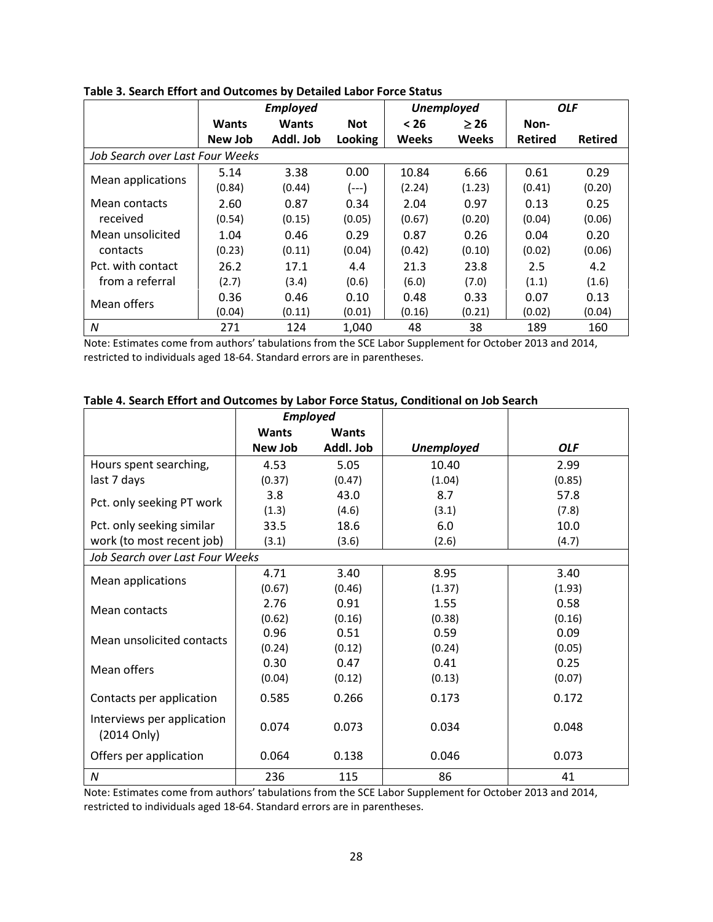|                                 |              | <b>Employed</b> |            |              | <b>Unemployed</b> |                | <b>OLF</b>     |
|---------------------------------|--------------|-----------------|------------|--------------|-------------------|----------------|----------------|
|                                 | <b>Wants</b> | <b>Wants</b>    | <b>Not</b> | < 26         | $\geq 26$         | Non-           |                |
|                                 | New Job      | Addl. Job       | Looking    | <b>Weeks</b> | <b>Weeks</b>      | <b>Retired</b> | <b>Retired</b> |
| Job Search over Last Four Weeks |              |                 |            |              |                   |                |                |
| Mean applications               | 5.14         | 3.38            | 0.00       | 10.84        | 6.66              | 0.61           | 0.29           |
|                                 | (0.84)       | (0.44)          | $(--)$     | (2.24)       | (1.23)            | (0.41)         | (0.20)         |
| Mean contacts                   | 2.60         | 0.87            | 0.34       | 2.04         | 0.97              | 0.13           | 0.25           |
| received                        | (0.54)       | (0.15)          | (0.05)     | (0.67)       | (0.20)            | (0.04)         | (0.06)         |
| Mean unsolicited                | 1.04         | 0.46            | 0.29       | 0.87         | 0.26              | 0.04           | 0.20           |
| contacts                        | (0.23)       | (0.11)          | (0.04)     | (0.42)       | (0.10)            | (0.02)         | (0.06)         |
| Pct. with contact               | 26.2         | 17.1            | 4.4        | 21.3         | 23.8              | 2.5            | 4.2            |
| from a referral                 | (2.7)        | (3.4)           | (0.6)      | (6.0)        | (7.0)             | (1.1)          | (1.6)          |
| Mean offers                     | 0.36         | 0.46            | 0.10       | 0.48         | 0.33              | 0.07           | 0.13           |
|                                 | (0.04)       | (0.11)          | (0.01)     | (0.16)       | (0.21)            | (0.02)         | (0.04)         |
| N                               | 271          | 124             | 1,040      | 48           | 38                | 189            | 160            |

**Table 3. Search Effort and Outcomes by Detailed Labor Force Status**

Note: Estimates come from authors' tabulations from the SCE Labor Supplement for October 2013 and 2014, restricted to individuals aged 18-64. Standard errors are in parentheses.

|                                           | <b>Employed</b> |              |                   |            |
|-------------------------------------------|-----------------|--------------|-------------------|------------|
|                                           | <b>Wants</b>    | <b>Wants</b> |                   |            |
|                                           | New Job         | Addl. Job    | <b>Unemployed</b> | <b>OLF</b> |
| Hours spent searching,                    | 4.53            | 5.05         | 10.40             | 2.99       |
| last 7 days                               | (0.37)          | (0.47)       | (1.04)            | (0.85)     |
| Pct. only seeking PT work                 | 3.8             | 43.0         | 8.7               | 57.8       |
|                                           | (1.3)           | (4.6)        | (3.1)             | (7.8)      |
| Pct. only seeking similar                 | 33.5            | 18.6         | 6.0               | 10.0       |
| work (to most recent job)                 | (3.1)           | (3.6)        | (2.6)             | (4.7)      |
| Job Search over Last Four Weeks           |                 |              |                   |            |
| Mean applications                         | 4.71            | 3.40         | 8.95              | 3.40       |
|                                           | (0.67)          | (0.46)       | (1.37)            | (1.93)     |
| Mean contacts                             | 2.76            | 0.91         | 1.55              | 0.58       |
|                                           | (0.62)          | (0.16)       | (0.38)            | (0.16)     |
| Mean unsolicited contacts                 | 0.96            | 0.51         | 0.59              | 0.09       |
|                                           | (0.24)          | (0.12)       | (0.24)            | (0.05)     |
| Mean offers                               | 0.30            | 0.47         | 0.41              | 0.25       |
|                                           | (0.04)          | (0.12)       | (0.13)            | (0.07)     |
| Contacts per application                  | 0.585           | 0.266        | 0.173             | 0.172      |
| Interviews per application<br>(2014 Only) | 0.074           | 0.073        | 0.034             | 0.048      |
| Offers per application                    | 0.064           | 0.138        | 0.046             | 0.073      |
| $\boldsymbol{N}$                          | 236             | 115          | 86                | 41         |

#### **Table 4. Search Effort and Outcomes by Labor Force Status, Conditional on Job Search**

Note: Estimates come from authors' tabulations from the SCE Labor Supplement for October 2013 and 2014, restricted to individuals aged 18-64. Standard errors are in parentheses.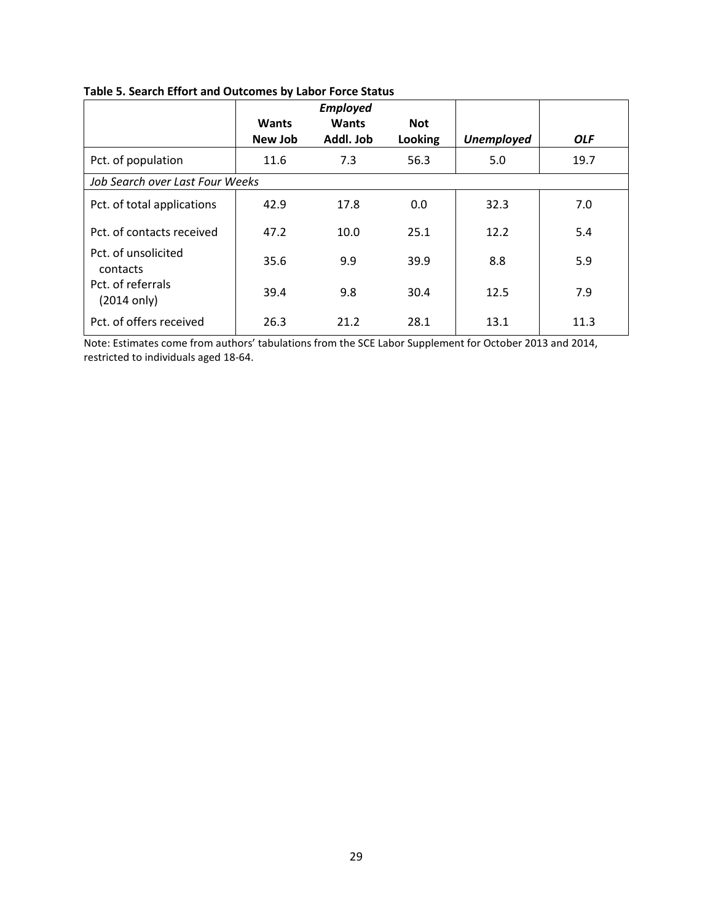|                                            | <b>Wants</b><br>New Job | <b>Employed</b><br><b>Wants</b><br>Addl. Job | <b>Not</b><br>Looking | <b>Unemployed</b> | <b>OLF</b> |
|--------------------------------------------|-------------------------|----------------------------------------------|-----------------------|-------------------|------------|
| Pct. of population                         | 11.6                    | 7.3                                          | 56.3                  | 5.0               | 19.7       |
| Job Search over Last Four Weeks            |                         |                                              |                       |                   |            |
| Pct. of total applications                 | 42.9                    | 17.8                                         | 0.0                   | 32.3              | 7.0        |
| Pct. of contacts received                  | 47.2                    | 10.0                                         | 25.1                  | 12.2              | 5.4        |
| Pct. of unsolicited<br>contacts            | 35.6                    | 9.9                                          | 39.9                  | 8.8               | 5.9        |
| Pct. of referrals<br>$(2014 \text{ only})$ | 39.4                    | 9.8                                          | 30.4                  | 12.5              | 7.9        |
| Pct. of offers received                    | 26.3                    | 21.2                                         | 28.1                  | 13.1              | 11.3       |

### **Table 5. Search Effort and Outcomes by Labor Force Status**

Note: Estimates come from authors' tabulations from the SCE Labor Supplement for October 2013 and 2014, restricted to individuals aged 18-64.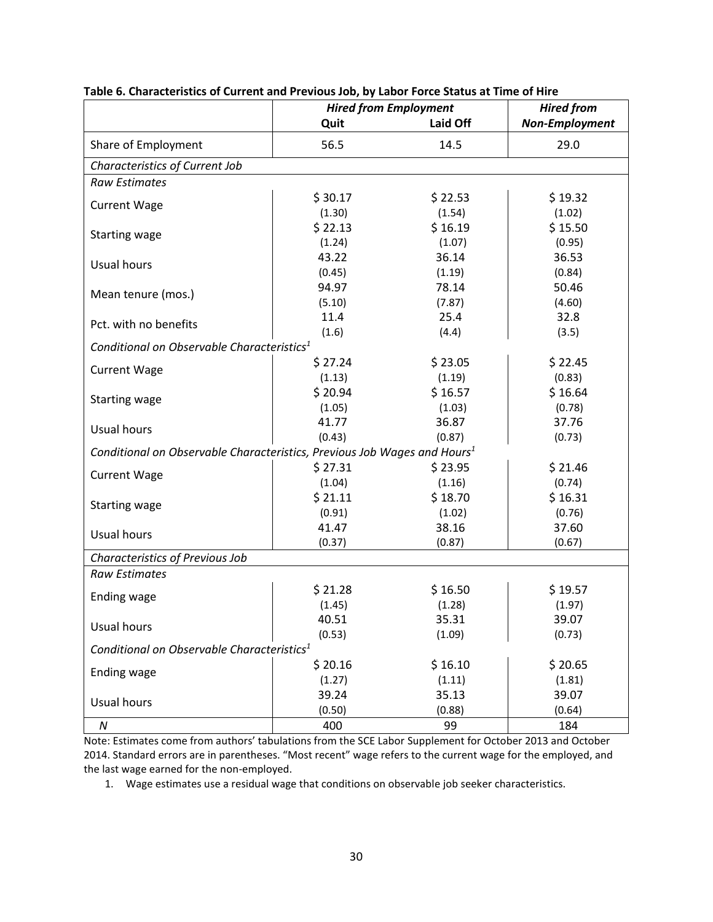|                                                                                      | <b>Hired from Employment</b> | <b>Hired from</b> |                       |
|--------------------------------------------------------------------------------------|------------------------------|-------------------|-----------------------|
|                                                                                      | Quit                         | Laid Off          | <b>Non-Employment</b> |
| Share of Employment                                                                  | 56.5                         | 14.5              | 29.0                  |
| Characteristics of Current Job                                                       |                              |                   |                       |
| <b>Raw Estimates</b>                                                                 |                              |                   |                       |
| <b>Current Wage</b>                                                                  | \$30.17                      | \$22.53           | \$19.32               |
|                                                                                      | (1.30)                       | (1.54)            | (1.02)                |
| <b>Starting wage</b>                                                                 | \$22.13                      | \$16.19           | \$15.50               |
|                                                                                      | (1.24)                       | (1.07)            | (0.95)                |
| <b>Usual hours</b>                                                                   | 43.22                        | 36.14             | 36.53                 |
|                                                                                      | (0.45)                       | (1.19)            | (0.84)                |
| Mean tenure (mos.)                                                                   | 94.97                        | 78.14             | 50.46                 |
|                                                                                      | (5.10)                       | (7.87)            | (4.60)                |
| Pct. with no benefits                                                                | 11.4                         | 25.4              | 32.8                  |
|                                                                                      | (1.6)                        | (4.4)             | (3.5)                 |
| Conditional on Observable Characteristics <sup>1</sup>                               |                              |                   |                       |
| <b>Current Wage</b>                                                                  | \$27.24                      | \$23.05           | \$22.45               |
|                                                                                      | (1.13)                       | (1.19)            | (0.83)                |
| <b>Starting wage</b>                                                                 | \$20.94                      | \$16.57           | \$16.64               |
|                                                                                      | (1.05)                       | (1.03)            | (0.78)                |
| Usual hours                                                                          | 41.77                        | 36.87             | 37.76                 |
|                                                                                      | (0.43)                       | (0.87)            | (0.73)                |
| Conditional on Observable Characteristics, Previous Job Wages and Hours <sup>1</sup> |                              |                   |                       |
| <b>Current Wage</b>                                                                  | \$27.31                      | \$23.95           | \$21.46               |
|                                                                                      | (1.04)                       | (1.16)            | (0.74)                |
| <b>Starting wage</b>                                                                 | \$21.11                      | \$18.70           | \$16.31               |
|                                                                                      | (0.91)                       | (1.02)            | (0.76)                |
| Usual hours                                                                          | 41.47                        | 38.16             | 37.60                 |
|                                                                                      | (0.37)                       | (0.87)            | (0.67)                |
| Characteristics of Previous Job                                                      |                              |                   |                       |
| <b>Raw Estimates</b>                                                                 |                              |                   |                       |
| Ending wage                                                                          | \$21.28                      | \$16.50           | \$19.57               |
|                                                                                      | (1.45)                       | (1.28)            | (1.97)                |
| Usual hours                                                                          | 40.51                        | 35.31             | 39.07                 |
|                                                                                      | (0.53)                       | (1.09)            | (0.73)                |
| Conditional on Observable Characteristics <sup>1</sup>                               |                              |                   |                       |
| <b>Ending wage</b>                                                                   | \$20.16                      | \$16.10           | \$20.65               |
|                                                                                      | (1.27)                       | (1.11)            | (1.81)                |
| <b>Usual hours</b>                                                                   | 39.24                        | 35.13             | 39.07                 |
|                                                                                      | (0.50)                       | (0.88)            | (0.64)                |
| ${\cal N}$                                                                           | 400                          | 99                | 184                   |

### **Table 6. Characteristics of Current and Previous Job, by Labor Force Status at Time of Hire**

Note: Estimates come from authors' tabulations from the SCE Labor Supplement for October 2013 and October 2014. Standard errors are in parentheses. "Most recent" wage refers to the current wage for the employed, and the last wage earned for the non-employed.

1. Wage estimates use a residual wage that conditions on observable job seeker characteristics.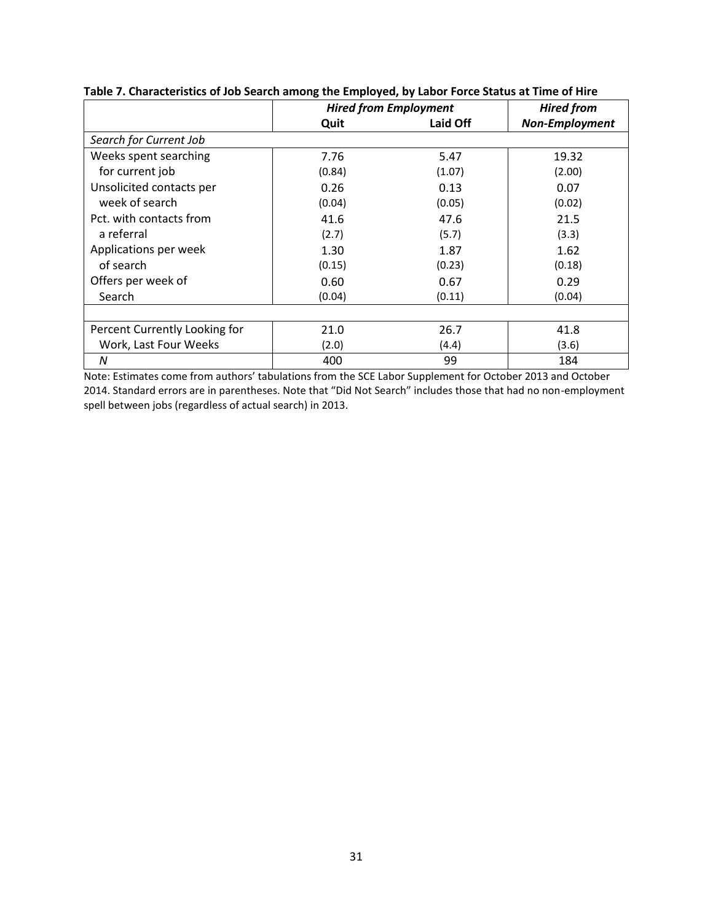|                               | <b>Hired from Employment</b> |          | <b>Hired from</b>     |
|-------------------------------|------------------------------|----------|-----------------------|
|                               | Quit                         | Laid Off | <b>Non-Employment</b> |
| Search for Current Job        |                              |          |                       |
| Weeks spent searching         | 7.76                         | 5.47     | 19.32                 |
| for current job               | (0.84)                       | (1.07)   | (2.00)                |
| Unsolicited contacts per      | 0.26                         | 0.13     | 0.07                  |
| week of search                | (0.04)                       | (0.05)   | (0.02)                |
| Pct. with contacts from       | 41.6                         | 47.6     | 21.5                  |
| a referral                    | (2.7)                        | (5.7)    | (3.3)                 |
| Applications per week         | 1.30                         | 1.87     | 1.62                  |
| of search                     | (0.15)                       | (0.23)   | (0.18)                |
| Offers per week of            | 0.60                         | 0.67     | 0.29                  |
| Search                        | (0.04)                       | (0.11)   | (0.04)                |
|                               |                              |          |                       |
| Percent Currently Looking for | 21.0                         | 26.7     | 41.8                  |
| Work, Last Four Weeks         | (2.0)                        | (4.4)    | (3.6)                 |
| N                             | 400                          | 99       | 184                   |

### **Table 7. Characteristics of Job Search among the Employed, by Labor Force Status at Time of Hire**

Note: Estimates come from authors' tabulations from the SCE Labor Supplement for October 2013 and October 2014. Standard errors are in parentheses. Note that "Did Not Search" includes those that had no non-employment spell between jobs (regardless of actual search) in 2013.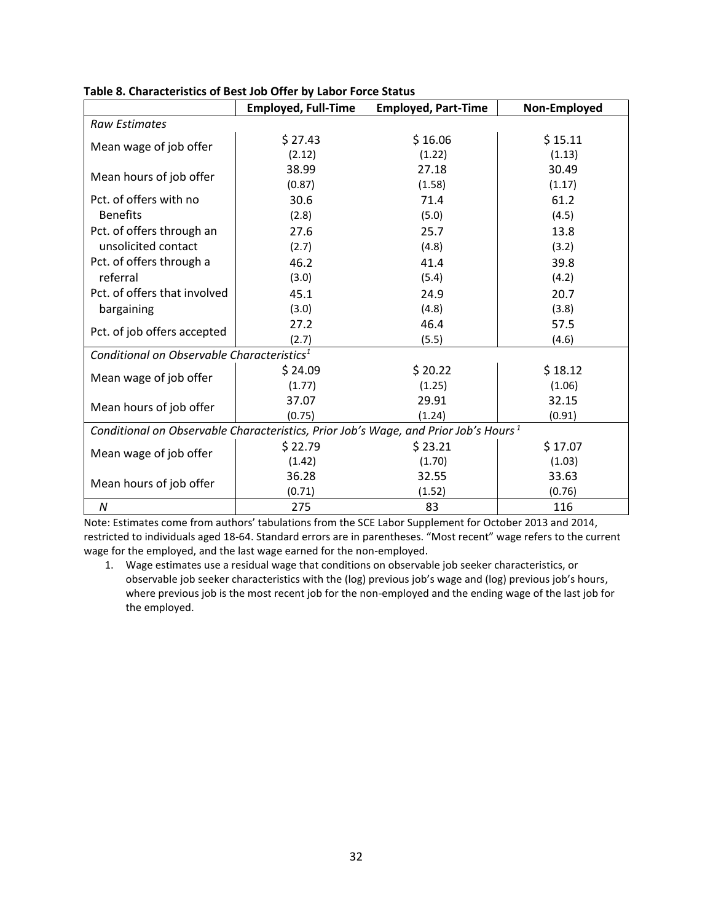|                                                        | <b>Employed, Full-Time</b>                                                                      | <b>Employed, Part-Time</b> | Non-Employed |  |  |  |
|--------------------------------------------------------|-------------------------------------------------------------------------------------------------|----------------------------|--------------|--|--|--|
| <b>Raw Estimates</b>                                   |                                                                                                 |                            |              |  |  |  |
|                                                        | \$27.43                                                                                         | \$16.06                    | \$15.11      |  |  |  |
| Mean wage of job offer                                 | (2.12)                                                                                          | (1.22)                     | (1.13)       |  |  |  |
| Mean hours of job offer                                | 38.99                                                                                           | 27.18                      | 30.49        |  |  |  |
|                                                        | (0.87)                                                                                          | (1.58)                     | (1.17)       |  |  |  |
| Pct. of offers with no                                 | 30.6                                                                                            | 71.4                       | 61.2         |  |  |  |
| <b>Benefits</b>                                        | (2.8)                                                                                           | (5.0)                      | (4.5)        |  |  |  |
| Pct. of offers through an                              | 27.6                                                                                            | 25.7                       | 13.8         |  |  |  |
| unsolicited contact                                    | (2.7)                                                                                           | (4.8)                      | (3.2)        |  |  |  |
| Pct. of offers through a                               | 46.2                                                                                            | 41.4                       | 39.8         |  |  |  |
| referral                                               | (3.0)                                                                                           | (5.4)                      | (4.2)        |  |  |  |
| Pct. of offers that involved                           | 45.1                                                                                            | 24.9                       | 20.7         |  |  |  |
| bargaining                                             | (3.0)                                                                                           | (4.8)                      | (3.8)        |  |  |  |
| Pct. of job offers accepted                            | 27.2                                                                                            | 46.4                       | 57.5         |  |  |  |
|                                                        | (2.7)                                                                                           | (5.5)                      | (4.6)        |  |  |  |
| Conditional on Observable Characteristics <sup>1</sup> |                                                                                                 |                            |              |  |  |  |
|                                                        | \$24.09                                                                                         | \$20.22                    | \$18.12      |  |  |  |
| Mean wage of job offer                                 | (1.77)                                                                                          | (1.25)                     | (1.06)       |  |  |  |
| Mean hours of job offer                                | 37.07                                                                                           | 29.91                      | 32.15        |  |  |  |
|                                                        | (0.75)                                                                                          | (1.24)                     | (0.91)       |  |  |  |
|                                                        | Conditional on Observable Characteristics, Prior Job's Wage, and Prior Job's Hours <sup>1</sup> |                            |              |  |  |  |
| Mean wage of job offer                                 | \$22.79                                                                                         | \$23.21                    | \$17.07      |  |  |  |
|                                                        | (1.42)                                                                                          | (1.70)                     | (1.03)       |  |  |  |
| Mean hours of job offer                                | 36.28                                                                                           | 32.55                      | 33.63        |  |  |  |
|                                                        | (0.71)                                                                                          | (1.52)                     | (0.76)       |  |  |  |
| N                                                      | 275                                                                                             | 83                         | 116          |  |  |  |

**Table 8. Characteristics of Best Job Offer by Labor Force Status**

Note: Estimates come from authors' tabulations from the SCE Labor Supplement for October 2013 and 2014, restricted to individuals aged 18-64. Standard errors are in parentheses. "Most recent" wage refers to the current wage for the employed, and the last wage earned for the non-employed.

1. Wage estimates use a residual wage that conditions on observable job seeker characteristics, or observable job seeker characteristics with the (log) previous job's wage and (log) previous job's hours, where previous job is the most recent job for the non-employed and the ending wage of the last job for the employed.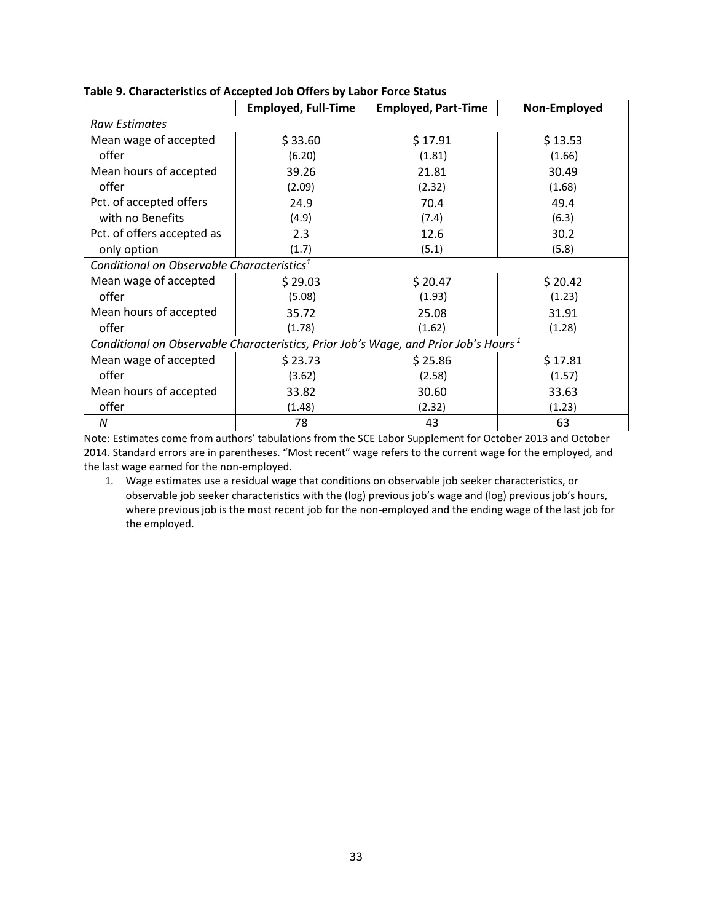|                                                                                                 | <b>Employed, Full-Time</b> | <b>Employed, Part-Time</b> | Non-Employed |  |  |  |
|-------------------------------------------------------------------------------------------------|----------------------------|----------------------------|--------------|--|--|--|
| <b>Raw Estimates</b>                                                                            |                            |                            |              |  |  |  |
| Mean wage of accepted                                                                           | \$33.60                    | \$17.91                    | \$13.53      |  |  |  |
| offer                                                                                           | (6.20)                     | (1.81)                     | (1.66)       |  |  |  |
| Mean hours of accepted                                                                          | 39.26                      | 21.81                      | 30.49        |  |  |  |
| offer                                                                                           | (2.09)                     | (2.32)                     | (1.68)       |  |  |  |
| Pct. of accepted offers                                                                         | 24.9                       | 70.4                       | 49.4         |  |  |  |
| with no Benefits                                                                                | (4.9)                      | (7.4)                      | (6.3)        |  |  |  |
| Pct. of offers accepted as                                                                      | 2.3                        | 12.6                       | 30.2         |  |  |  |
| only option                                                                                     | (1.7)                      | (5.1)                      | (5.8)        |  |  |  |
| Conditional on Observable Characteristics <sup>1</sup>                                          |                            |                            |              |  |  |  |
| Mean wage of accepted                                                                           | \$29.03                    | \$20.47                    | \$20.42      |  |  |  |
| offer                                                                                           | (5.08)                     | (1.93)                     | (1.23)       |  |  |  |
| Mean hours of accepted                                                                          | 35.72                      | 25.08                      | 31.91        |  |  |  |
| offer                                                                                           | (1.78)                     | (1.62)                     | (1.28)       |  |  |  |
| Conditional on Observable Characteristics, Prior Job's Wage, and Prior Job's Hours <sup>1</sup> |                            |                            |              |  |  |  |
| Mean wage of accepted                                                                           | \$23.73                    | \$25.86                    | \$17.81      |  |  |  |
| offer                                                                                           | (3.62)                     | (2.58)                     | (1.57)       |  |  |  |
| Mean hours of accepted                                                                          | 33.82                      | 30.60                      | 33.63        |  |  |  |
| offer                                                                                           | (1.48)                     | (2.32)                     | (1.23)       |  |  |  |
| N                                                                                               | 78                         | 43                         | 63           |  |  |  |

**Table 9. Characteristics of Accepted Job Offers by Labor Force Status**

Note: Estimates come from authors' tabulations from the SCE Labor Supplement for October 2013 and October 2014. Standard errors are in parentheses. "Most recent" wage refers to the current wage for the employed, and the last wage earned for the non-employed.

1. Wage estimates use a residual wage that conditions on observable job seeker characteristics, or observable job seeker characteristics with the (log) previous job's wage and (log) previous job's hours, where previous job is the most recent job for the non-employed and the ending wage of the last job for the employed.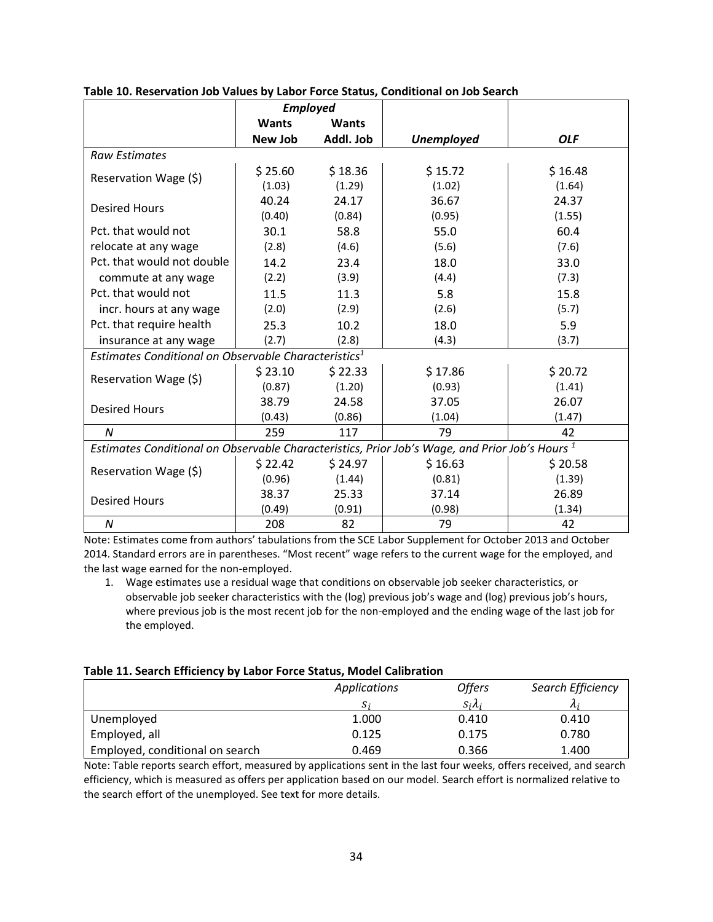|                                                                                                           | <b>Employed</b> |              |                   |            |  |  |
|-----------------------------------------------------------------------------------------------------------|-----------------|--------------|-------------------|------------|--|--|
|                                                                                                           | <b>Wants</b>    | <b>Wants</b> |                   |            |  |  |
|                                                                                                           | New Job         | Addl. Job    | <b>Unemployed</b> | <b>OLF</b> |  |  |
| <b>Raw Estimates</b>                                                                                      |                 |              |                   |            |  |  |
| Reservation Wage (\$)                                                                                     | \$25.60         | \$18.36      | \$15.72           | \$16.48    |  |  |
|                                                                                                           | (1.03)          | (1.29)       | (1.02)            | (1.64)     |  |  |
| <b>Desired Hours</b>                                                                                      | 40.24           | 24.17        | 36.67             | 24.37      |  |  |
|                                                                                                           | (0.40)          | (0.84)       | (0.95)            | (1.55)     |  |  |
| Pct. that would not                                                                                       | 30.1            | 58.8         | 55.0              | 60.4       |  |  |
| relocate at any wage                                                                                      | (2.8)           | (4.6)        | (5.6)             | (7.6)      |  |  |
| Pct. that would not double                                                                                | 14.2            | 23.4         | 18.0              | 33.0       |  |  |
| commute at any wage                                                                                       | (2.2)           | (3.9)        | (4.4)             | (7.3)      |  |  |
| Pct. that would not                                                                                       | 11.5            | 11.3         | 5.8               | 15.8       |  |  |
| incr. hours at any wage                                                                                   | (2.0)           | (2.9)        | (2.6)             | (5.7)      |  |  |
| Pct. that require health                                                                                  | 25.3            | 10.2         | 18.0              | 5.9        |  |  |
| insurance at any wage                                                                                     | (2.7)           | (2.8)        | (4.3)             | (3.7)      |  |  |
| Estimates Conditional on Observable Characteristics <sup>1</sup>                                          |                 |              |                   |            |  |  |
|                                                                                                           | \$23.10         | \$22.33      | \$17.86           | \$20.72    |  |  |
| Reservation Wage (\$)                                                                                     | (0.87)          | (1.20)       | (0.93)            | (1.41)     |  |  |
| <b>Desired Hours</b>                                                                                      | 38.79           | 24.58        | 37.05             | 26.07      |  |  |
|                                                                                                           | (0.43)          | (0.86)       | (1.04)            | (1.47)     |  |  |
| N                                                                                                         | 259             | 117          | 79                | 42         |  |  |
| Estimates Conditional on Observable Characteristics, Prior Job's Wage, and Prior Job's Hours <sup>1</sup> |                 |              |                   |            |  |  |
|                                                                                                           | \$22.42         | \$24.97      | \$16.63           | \$20.58    |  |  |
| Reservation Wage (\$)                                                                                     | (0.96)          | (1.44)       | (0.81)            | (1.39)     |  |  |
| <b>Desired Hours</b>                                                                                      | 38.37           | 25.33        | 37.14             | 26.89      |  |  |
|                                                                                                           | (0.49)          | (0.91)       | (0.98)            | (1.34)     |  |  |
| $\boldsymbol{N}$                                                                                          | 208             | 82           | 79                | 42         |  |  |

**Table 10. Reservation Job Values by Labor Force Status, Conditional on Job Search**

Note: Estimates come from authors' tabulations from the SCE Labor Supplement for October 2013 and October 2014. Standard errors are in parentheses. "Most recent" wage refers to the current wage for the employed, and the last wage earned for the non-employed.

1. Wage estimates use a residual wage that conditions on observable job seeker characteristics, or observable job seeker characteristics with the (log) previous job's wage and (log) previous job's hours, where previous job is the most recent job for the non-employed and the ending wage of the last job for the employed.

#### **Table 11. Search Efficiency by Labor Force Status, Model Calibration**

|                                 | Applications | <b>Offers</b>   | Search Efficiency |
|---------------------------------|--------------|-----------------|-------------------|
|                                 | S.           | $S_i \lambda_i$ |                   |
| Unemployed                      | 1.000        | 0.410           | 0.410             |
| Employed, all                   | 0.125        | 0.175           | 0.780             |
| Employed, conditional on search | 0.469        | 0.366           | 1.400             |

Note: Table reports search effort, measured by applications sent in the last four weeks, offers received, and search efficiency, which is measured as offers per application based on our model. Search effort is normalized relative to the search effort of the unemployed. See text for more details.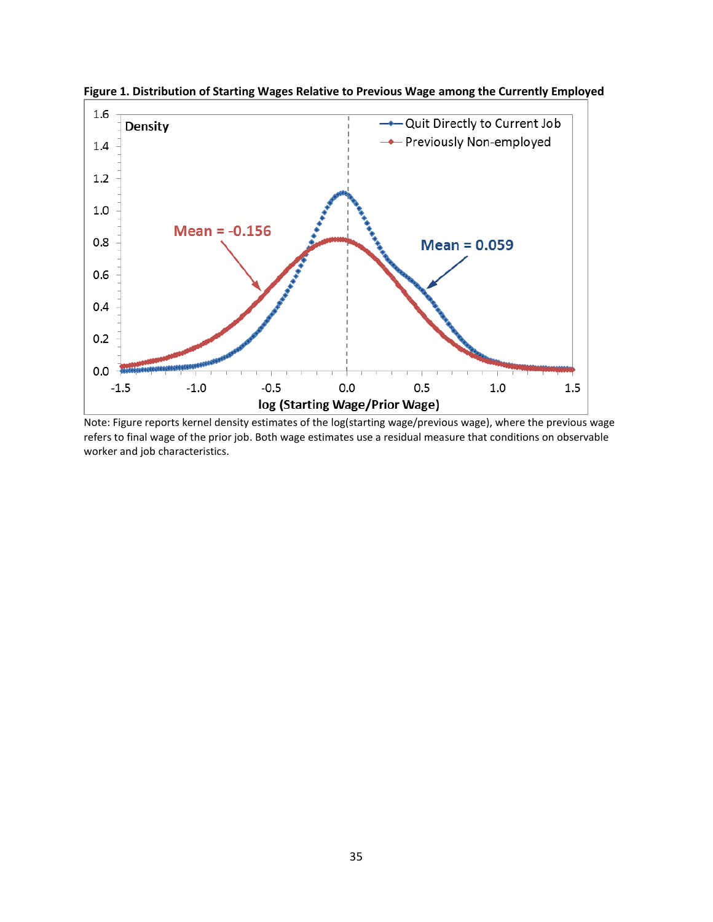

**Figure 1. Distribution of Starting Wages Relative to Previous Wage among the Currently Employed**

Note: Figure reports kernel density estimates of the log(starting wage/previous wage), where the previous wage refers to final wage of the prior job. Both wage estimates use a residual measure that conditions on observable worker and job characteristics.